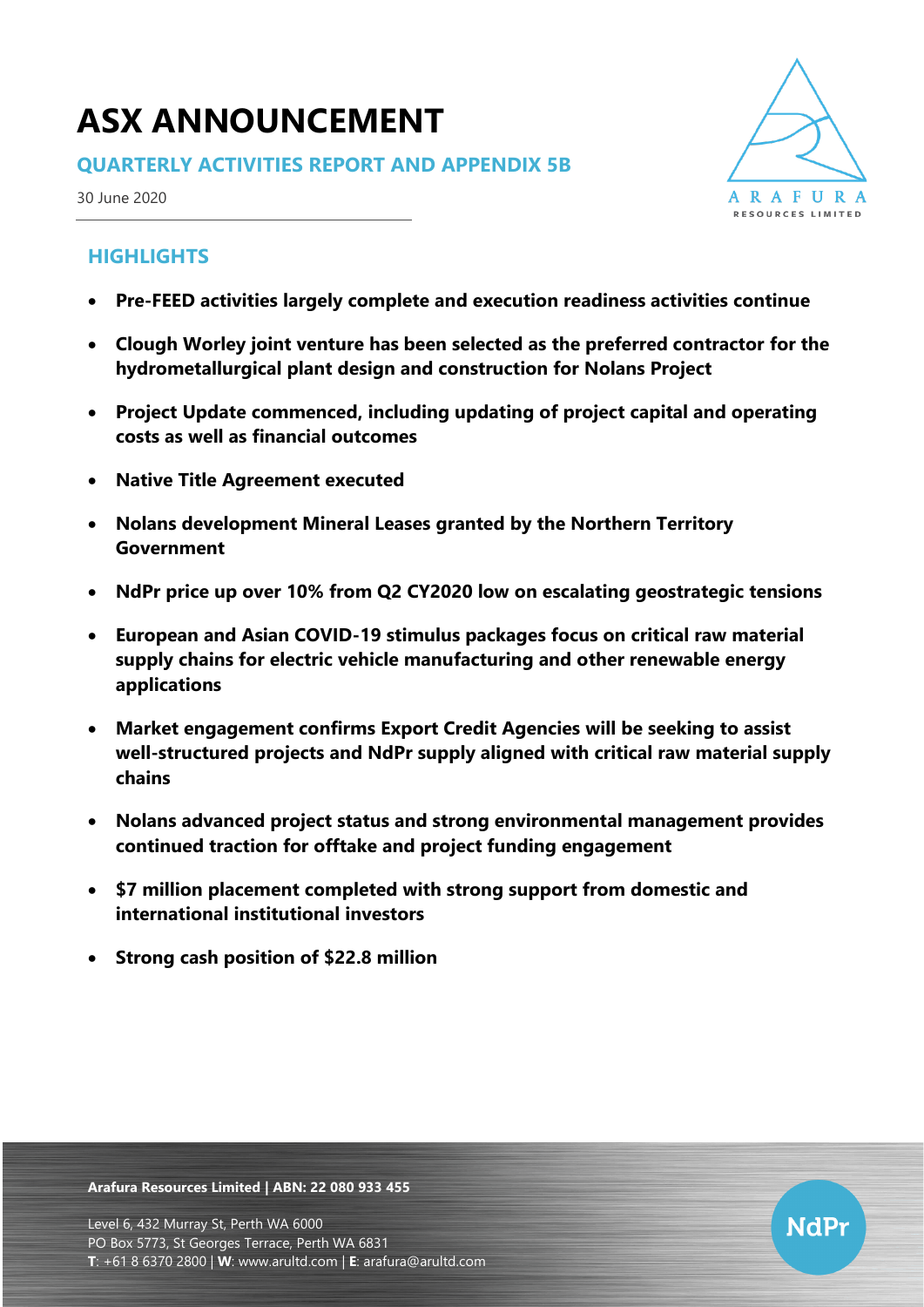# **ASX ANNOUNCEMENT**

### **QUARTERLY ACTIVITIES REPORT AND APPENDIX 5B**

30 June 2020

# **HIGHLIGHTS**

- **Pre-FEED activities largely complete and execution readiness activities continue**
- **Clough Worley joint venture has been selected as the preferred contractor for the hydrometallurgical plant design and construction for Nolans Project**
- **Project Update commenced, including updating of project capital and operating costs as well as financial outcomes**
- **Native Title Agreement executed**
- **Nolans development Mineral Leases granted by the Northern Territory Government**
- **NdPr price up over 10% from Q2 CY2020 low on escalating geostrategic tensions**
- **European and Asian COVID-19 stimulus packages focus on critical raw material supply chains for electric vehicle manufacturing and other renewable energy applications**
- **Market engagement confirms Export Credit Agencies will be seeking to assist well-structured projects and NdPr supply aligned with critical raw material supply chains**
- **Nolans advanced project status and strong environmental management provides continued traction for offtake and project funding engagement**
- **\$7 million placement completed with strong support from domestic and international institutional investors**
- **Strong cash position of \$22.8 million**

**Arafura Resources Limited | ABN: 22 080 933 455**



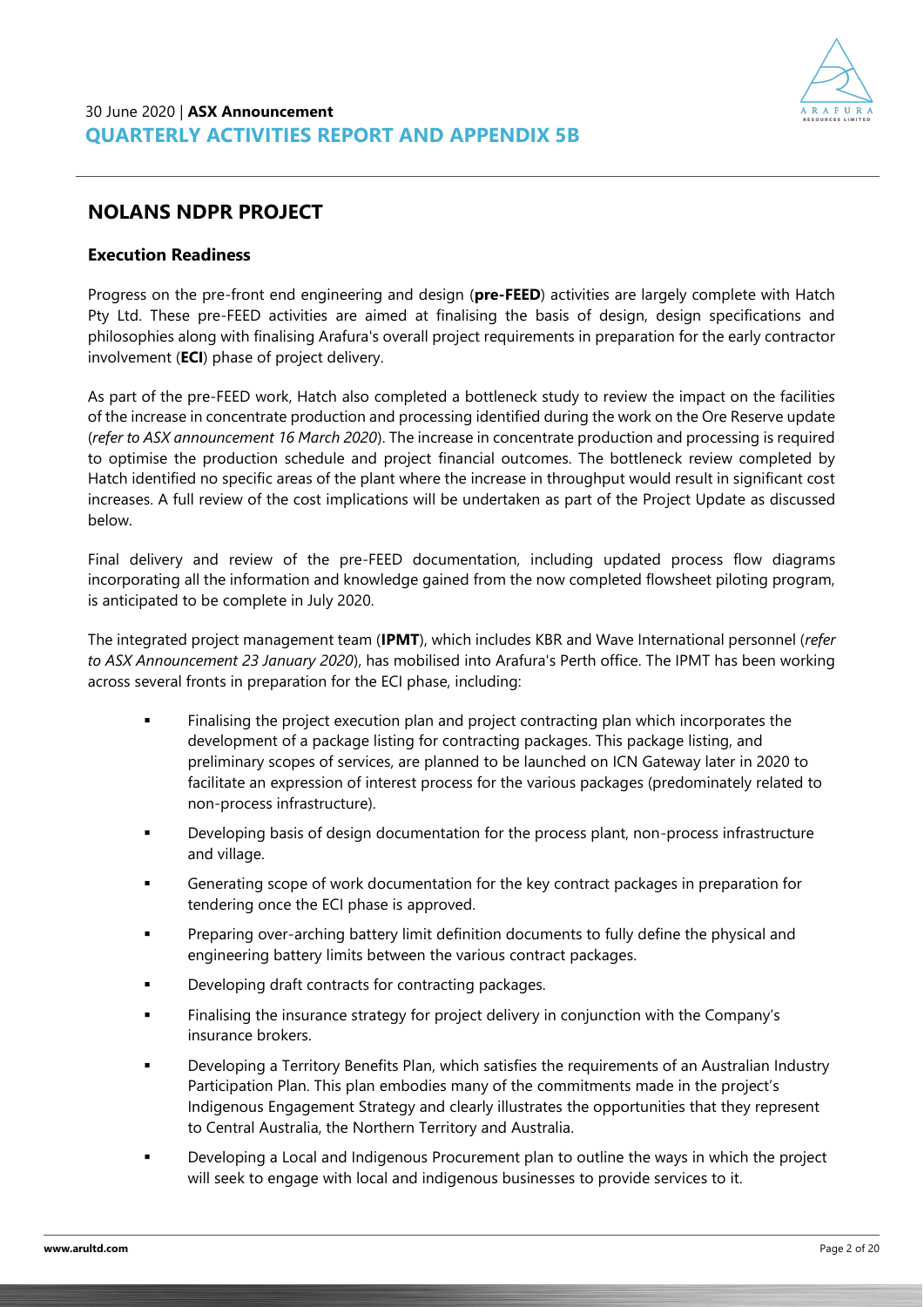### **NOLANS NDPR PROJECT**

#### **Execution Readiness**

Progress on the pre-front end engineering and design (**pre-FEED**) activities are largely complete with Hatch Pty Ltd. These pre-FEED activities are aimed at finalising the basis of design, design specifications and philosophies along with finalising Arafura's overall project requirements in preparation for the early contractor involvement (**ECI**) phase of project delivery.

As part of the pre-FEED work, Hatch also completed a bottleneck study to review the impact on the facilities of the increase in concentrate production and processing identified during the work on the Ore Reserve update (*refer to ASX announcement 16 March 2020*). The increase in concentrate production and processing is required to optimise the production schedule and project financial outcomes. The bottleneck review completed by Hatch identified no specific areas of the plant where the increase in throughput would result in significant cost increases. A full review of the cost implications will be undertaken as part of the Project Update as discussed below.

Final delivery and review of the pre-FEED documentation, including updated process flow diagrams incorporating all the information and knowledge gained from the now completed flowsheet piloting program, is anticipated to be complete in July 2020.

The integrated project management team (**IPMT**), which includes KBR and Wave International personnel (*refer to ASX Announcement 23 January 2020*), has mobilised into Arafura's Perth office. The IPMT has been working across several fronts in preparation for the ECI phase, including:

- Finalising the project execution plan and project contracting plan which incorporates the development of a package listing for contracting packages. This package listing, and preliminary scopes of services, are planned to be launched on ICN Gateway later in 2020 to facilitate an expression of interest process for the various packages (predominately related to non-process infrastructure).
- Developing basis of design documentation for the process plant, non-process infrastructure and village.
- Generating scope of work documentation for the key contract packages in preparation for tendering once the ECI phase is approved.
- Preparing over-arching battery limit definition documents to fully define the physical and engineering battery limits between the various contract packages.
- Developing draft contracts for contracting packages.
- Finalising the insurance strategy for project delivery in conjunction with the Company's insurance brokers.
- Developing a Territory Benefits Plan, which satisfies the requirements of an Australian Industry Participation Plan. This plan embodies many of the commitments made in the project's Indigenous Engagement Strategy and clearly illustrates the opportunities that they represent to Central Australia, the Northern Territory and Australia.
- Developing a Local and Indigenous Procurement plan to outline the ways in which the project will seek to engage with local and indigenous businesses to provide services to it.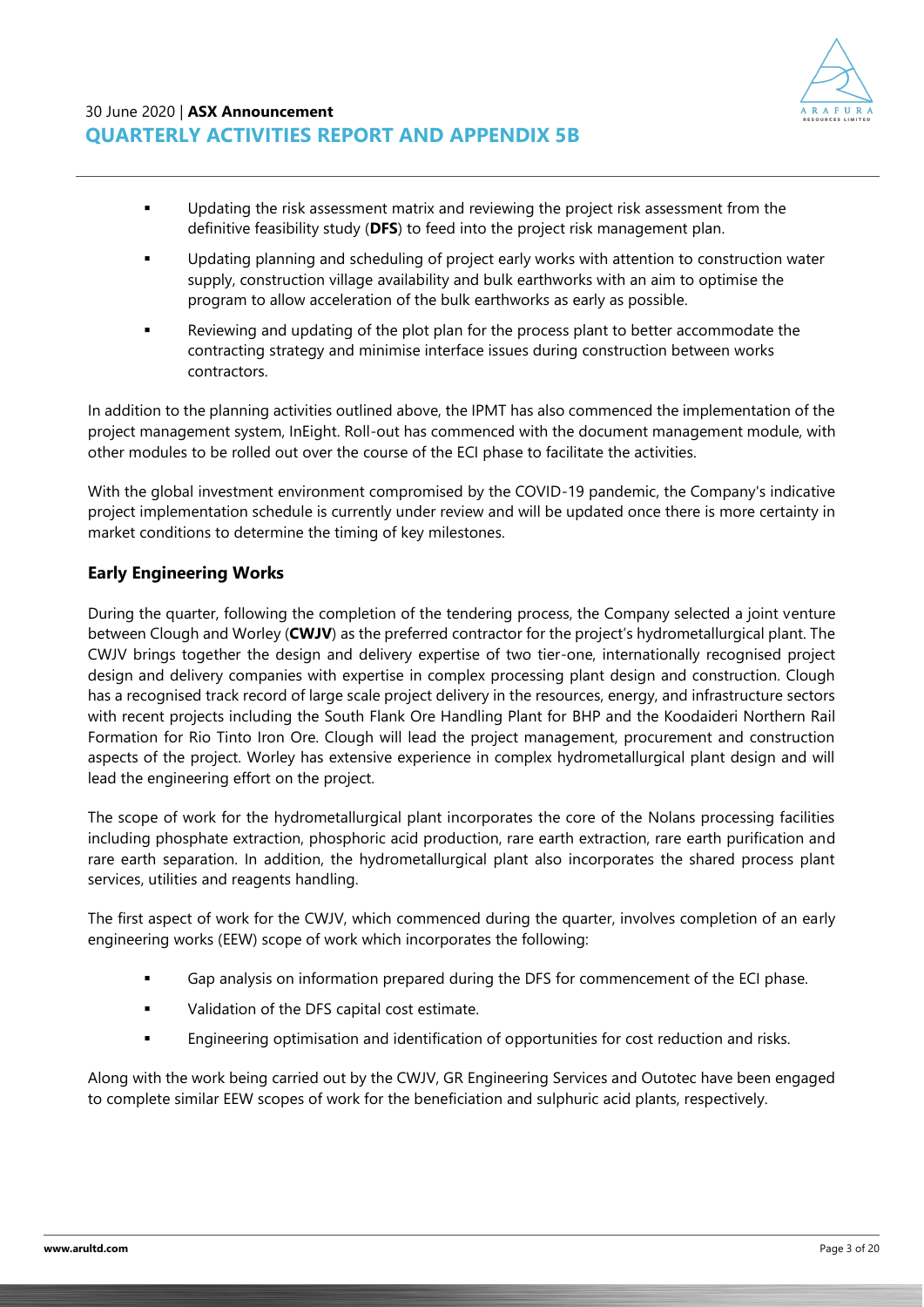

- **•** Updating the risk assessment matrix and reviewing the project risk assessment from the definitive feasibility study (**DFS**) to feed into the project risk management plan.
- Updating planning and scheduling of project early works with attention to construction water supply, construction village availability and bulk earthworks with an aim to optimise the program to allow acceleration of the bulk earthworks as early as possible.
- Reviewing and updating of the plot plan for the process plant to better accommodate the contracting strategy and minimise interface issues during construction between works contractors.

In addition to the planning activities outlined above, the IPMT has also commenced the implementation of the project management system, InEight. Roll-out has commenced with the document management module, with other modules to be rolled out over the course of the ECI phase to facilitate the activities.

With the global investment environment compromised by the COVID-19 pandemic, the Company's indicative project implementation schedule is currently under review and will be updated once there is more certainty in market conditions to determine the timing of key milestones.

### **Early Engineering Works**

During the quarter, following the completion of the tendering process, the Company selected a joint venture between Clough and Worley (**CWJV**) as the preferred contractor for the project's hydrometallurgical plant. The CWJV brings together the design and delivery expertise of two tier-one, internationally recognised project design and delivery companies with expertise in complex processing plant design and construction. Clough has a recognised track record of large scale project delivery in the resources, energy, and infrastructure sectors with recent projects including the South Flank Ore Handling Plant for BHP and the Koodaideri Northern Rail Formation for Rio Tinto Iron Ore. Clough will lead the project management, procurement and construction aspects of the project. Worley has extensive experience in complex hydrometallurgical plant design and will lead the engineering effort on the project.

The scope of work for the hydrometallurgical plant incorporates the core of the Nolans processing facilities including phosphate extraction, phosphoric acid production, rare earth extraction, rare earth purification and rare earth separation. In addition, the hydrometallurgical plant also incorporates the shared process plant services, utilities and reagents handling.

The first aspect of work for the CWJV, which commenced during the quarter, involves completion of an early engineering works (EEW) scope of work which incorporates the following:

- Gap analysis on information prepared during the DFS for commencement of the ECI phase.
- Validation of the DFS capital cost estimate.
- **Engineering optimisation and identification of opportunities for cost reduction and risks.**

Along with the work being carried out by the CWJV, GR Engineering Services and Outotec have been engaged to complete similar EEW scopes of work for the beneficiation and sulphuric acid plants, respectively.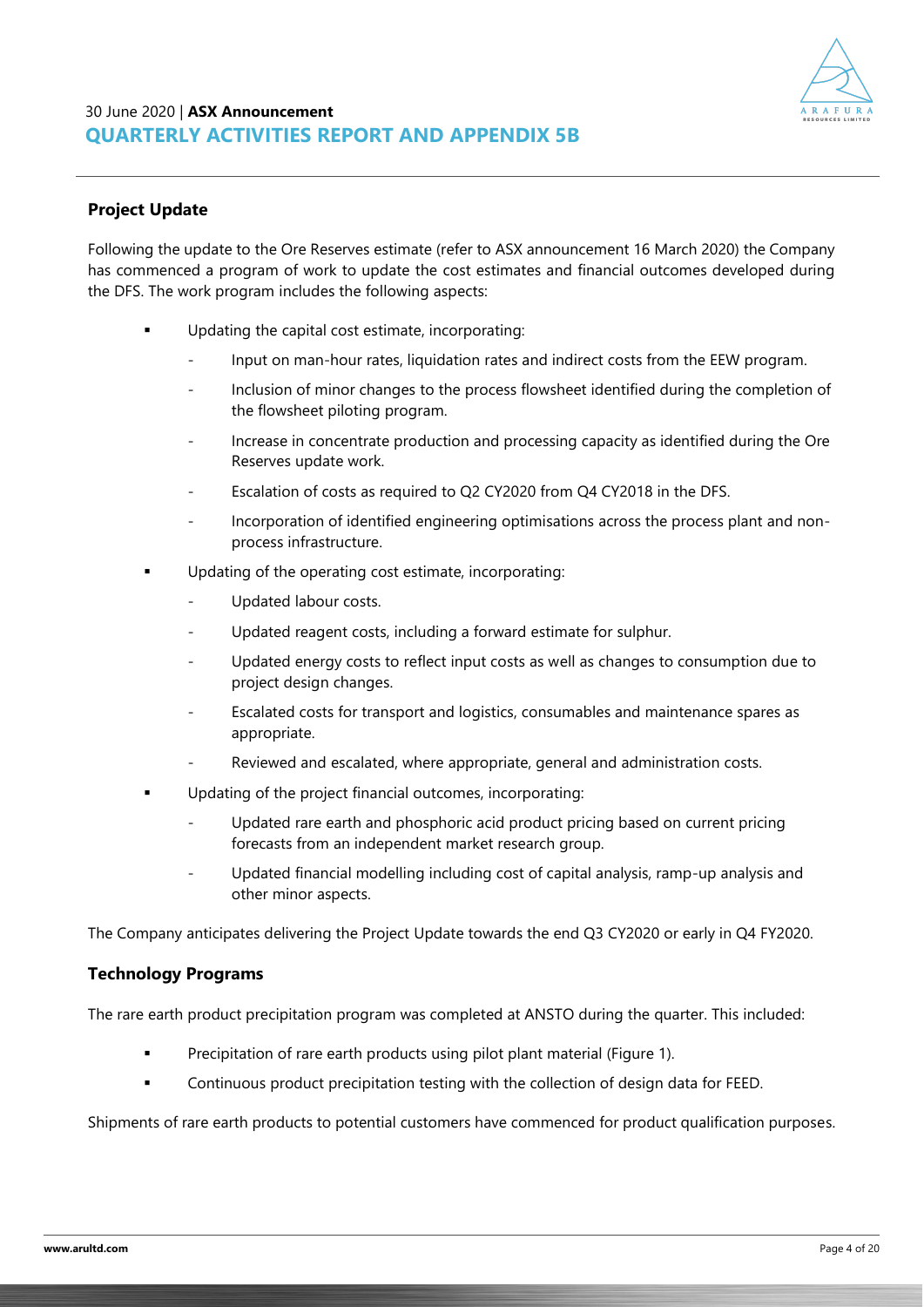

### **Project Update**

Following the update to the Ore Reserves estimate (refer to ASX announcement 16 March 2020) the Company has commenced a program of work to update the cost estimates and financial outcomes developed during the DFS. The work program includes the following aspects:

- Updating the capital cost estimate, incorporating:
	- Input on man-hour rates, liquidation rates and indirect costs from the EEW program.
	- Inclusion of minor changes to the process flowsheet identified during the completion of the flowsheet piloting program.
	- Increase in concentrate production and processing capacity as identified during the Ore Reserves update work.
	- Escalation of costs as required to Q2 CY2020 from Q4 CY2018 in the DFS.
	- Incorporation of identified engineering optimisations across the process plant and nonprocess infrastructure.
- Updating of the operating cost estimate, incorporating:
	- Updated labour costs.
	- Updated reagent costs, including a forward estimate for sulphur.
	- Updated energy costs to reflect input costs as well as changes to consumption due to project design changes.
	- Escalated costs for transport and logistics, consumables and maintenance spares as appropriate.
	- Reviewed and escalated, where appropriate, general and administration costs.
- Updating of the project financial outcomes, incorporating:
	- Updated rare earth and phosphoric acid product pricing based on current pricing forecasts from an independent market research group.
	- Updated financial modelling including cost of capital analysis, ramp-up analysis and other minor aspects.

The Company anticipates delivering the Project Update towards the end Q3 CY2020 or early in Q4 FY2020.

### **Technology Programs**

The rare earth product precipitation program was completed at ANSTO during the quarter. This included:

- Precipitation of rare earth products using pilot plant material (Figure 1).
- Continuous product precipitation testing with the collection of design data for FEED.

Shipments of rare earth products to potential customers have commenced for product qualification purposes.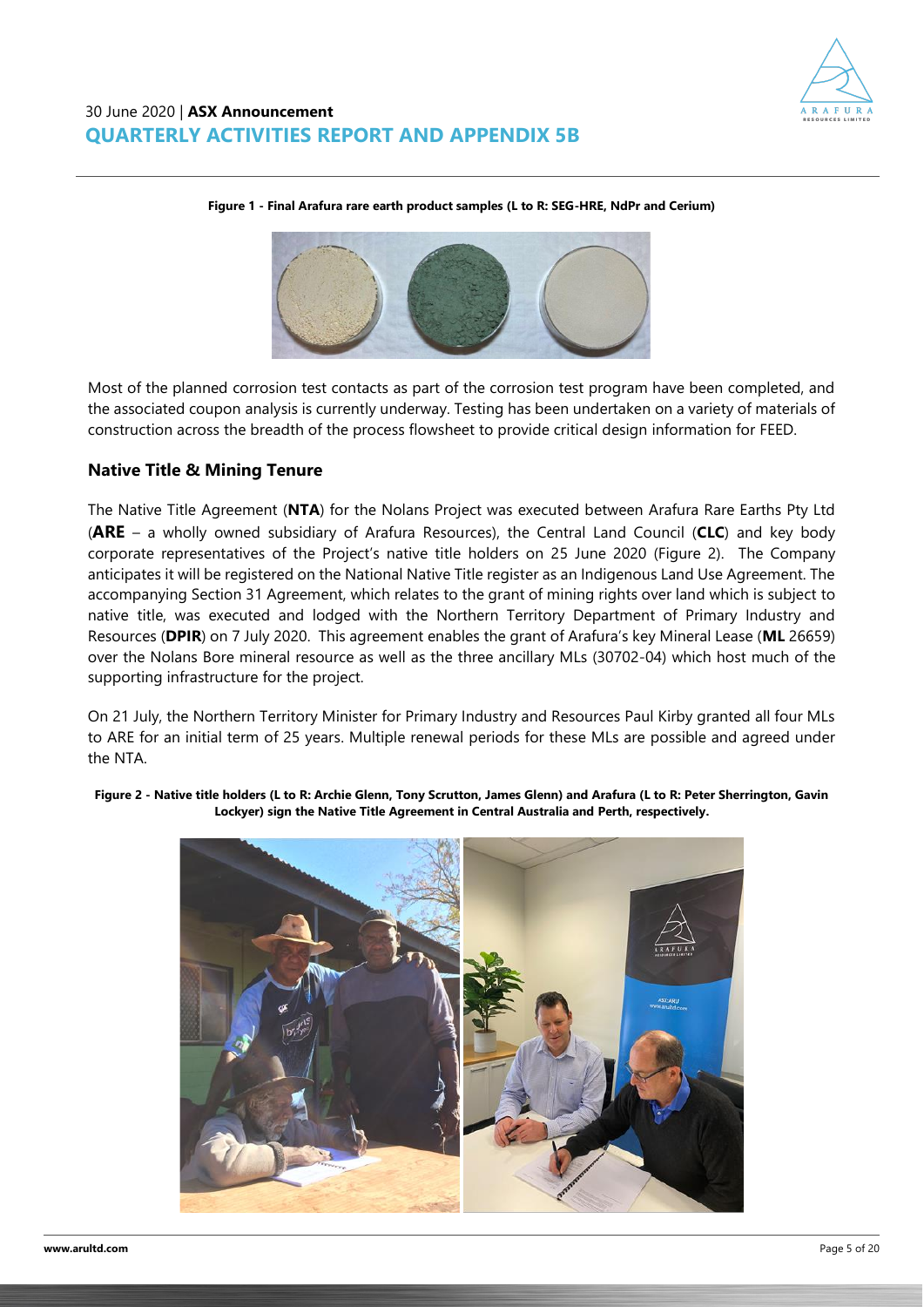



**Figure 1 - Final Arafura rare earth product samples (L to R: SEG-HRE, NdPr and Cerium)**

Most of the planned corrosion test contacts as part of the corrosion test program have been completed, and the associated coupon analysis is currently underway. Testing has been undertaken on a variety of materials of construction across the breadth of the process flowsheet to provide critical design information for FEED.

### **Native Title & Mining Tenure**

The Native Title Agreement (**NTA**) for the Nolans Project was executed between Arafura Rare Earths Pty Ltd (**ARE** – a wholly owned subsidiary of Arafura Resources), the Central Land Council (**CLC**) and key body corporate representatives of the Project's native title holders on 25 June 2020 (Figure 2). The Company anticipates it will be registered on the National Native Title register as an Indigenous Land Use Agreement. The accompanying Section 31 Agreement, which relates to the grant of mining rights over land which is subject to native title, was executed and lodged with the Northern Territory Department of Primary Industry and Resources (**DPIR**) on 7 July 2020. This agreement enables the grant of Arafura's key Mineral Lease (**ML** 26659) over the Nolans Bore mineral resource as well as the three ancillary MLs (30702-04) which host much of the supporting infrastructure for the project.

On 21 July, the Northern Territory Minister for Primary Industry and Resources Paul Kirby granted all four MLs to ARE for an initial term of 25 years. Multiple renewal periods for these MLs are possible and agreed under the NTA.

**Figure 2 - Native title holders (L to R: Archie Glenn, Tony Scrutton, James Glenn) and Arafura (L to R: Peter Sherrington, Gavin Lockyer) sign the Native Title Agreement in Central Australia and Perth, respectively.**

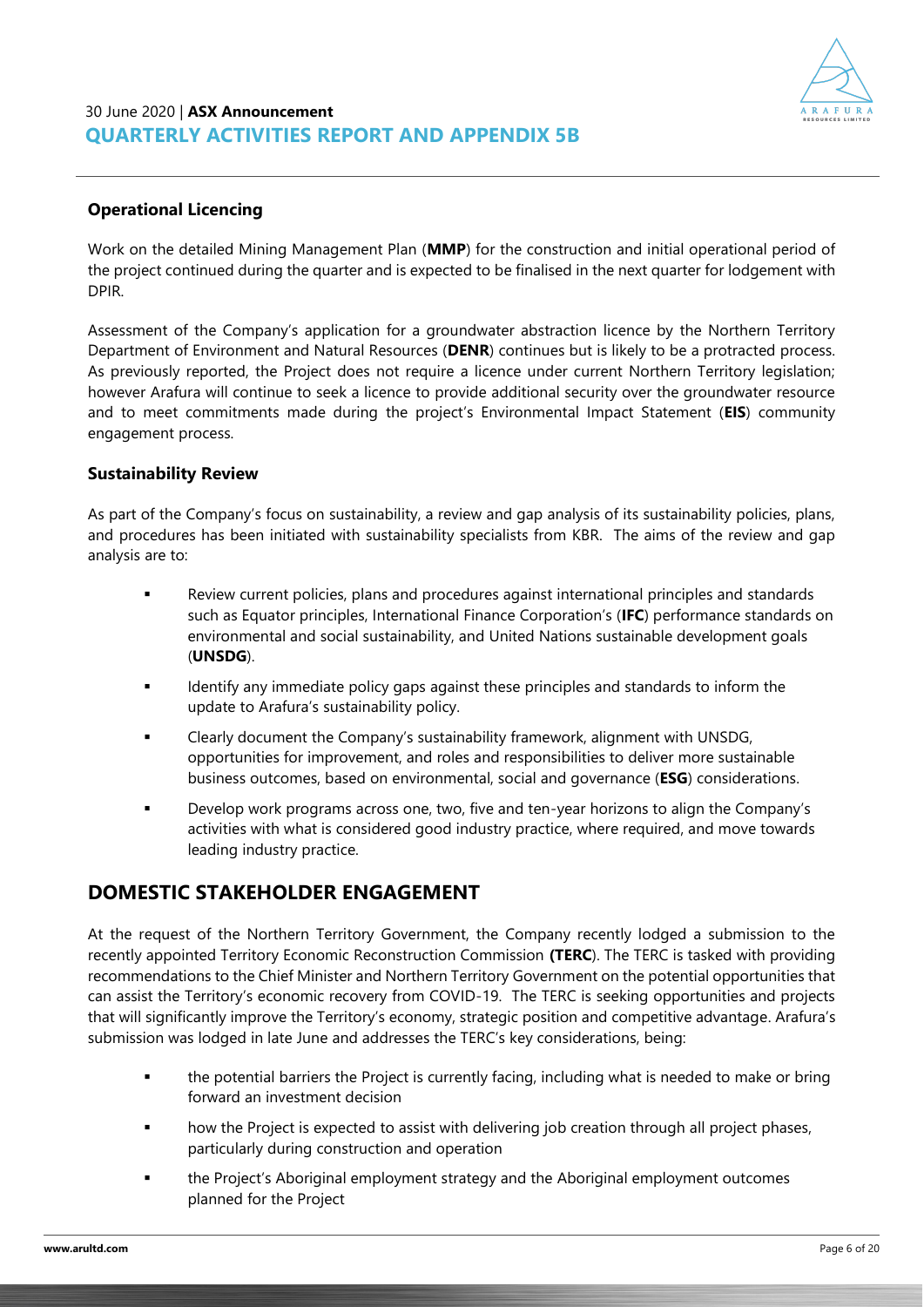

### **Operational Licencing**

Work on the detailed Mining Management Plan (**MMP**) for the construction and initial operational period of the project continued during the quarter and is expected to be finalised in the next quarter for lodgement with DPIR.

Assessment of the Company's application for a groundwater abstraction licence by the Northern Territory Department of Environment and Natural Resources (**DENR**) continues but is likely to be a protracted process. As previously reported, the Project does not require a licence under current Northern Territory legislation; however Arafura will continue to seek a licence to provide additional security over the groundwater resource and to meet commitments made during the project's Environmental Impact Statement (**EIS**) community engagement process.

### **Sustainability Review**

As part of the Company's focus on sustainability, a review and gap analysis of its sustainability policies, plans, and procedures has been initiated with sustainability specialists from KBR. The aims of the review and gap analysis are to:

- Review current policies, plans and procedures against international principles and standards such as Equator principles, International Finance Corporation's (**IFC**) performance standards on environmental and social sustainability, and United Nations sustainable development goals (**UNSDG**).
- Identify any immediate policy gaps against these principles and standards to inform the update to Arafura's sustainability policy.
- Clearly document the Company's sustainability framework, alignment with UNSDG, opportunities for improvement, and roles and responsibilities to deliver more sustainable business outcomes, based on environmental, social and governance (**ESG**) considerations.
- Develop work programs across one, two, five and ten-year horizons to align the Company's activities with what is considered good industry practice, where required, and move towards leading industry practice.

# **DOMESTIC STAKEHOLDER ENGAGEMENT**

At the request of the Northern Territory Government, the Company recently lodged a submission to the recently appointed Territory Economic Reconstruction Commission **(TERC**). The TERC is tasked with providing recommendations to the Chief Minister and Northern Territory Government on the potential opportunities that can assist the Territory's economic recovery from COVID-19. The TERC is seeking opportunities and projects that will significantly improve the Territory's economy, strategic position and competitive advantage. Arafura's submission was lodged in late June and addresses the TERC's key considerations, being:

- the potential barriers the Project is currently facing, including what is needed to make or bring forward an investment decision
- how the Project is expected to assist with delivering job creation through all project phases, particularly during construction and operation
- the Project's Aboriginal employment strategy and the Aboriginal employment outcomes planned for the Project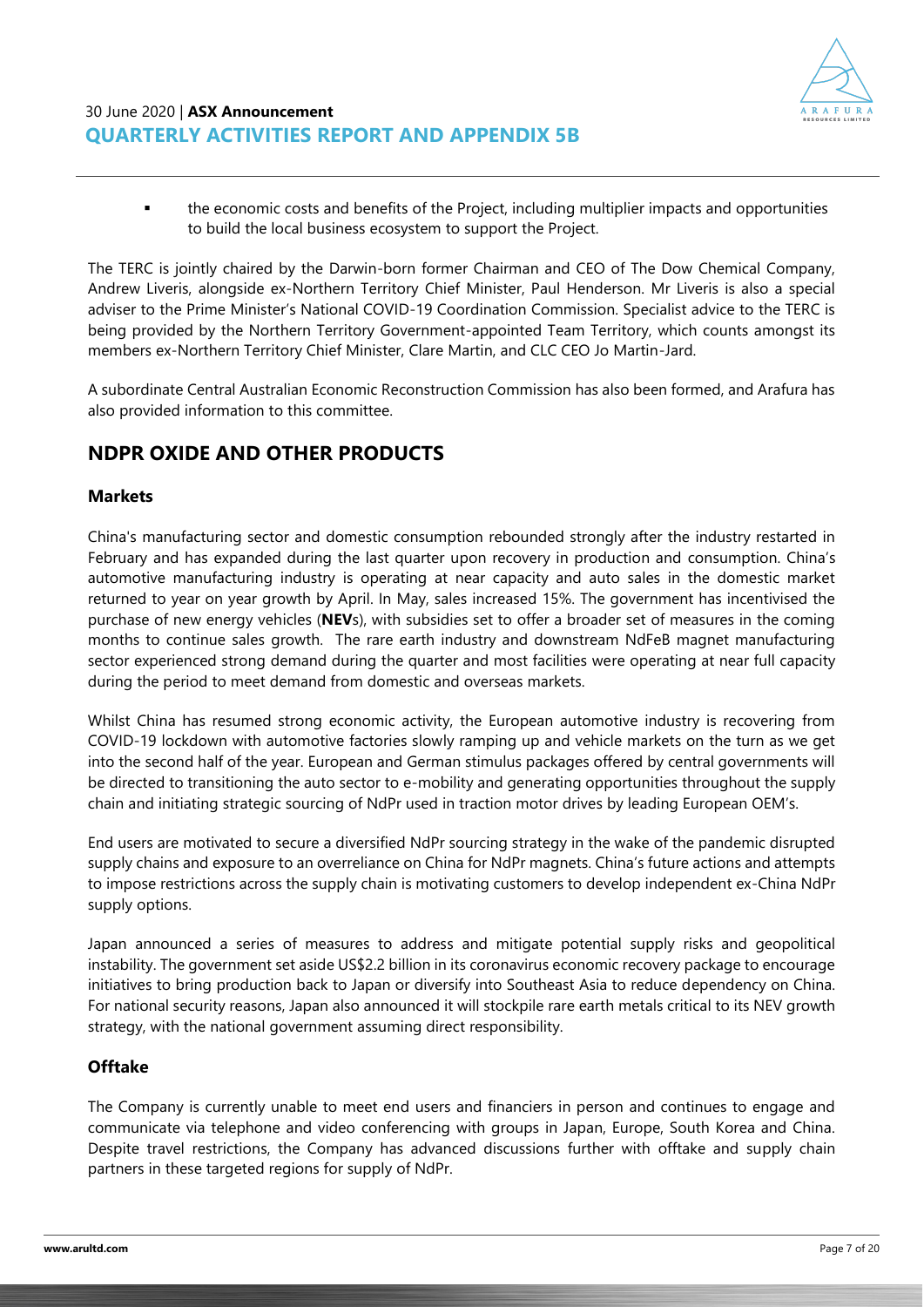

▪ the economic costs and benefits of the Project, including multiplier impacts and opportunities to build the local business ecosystem to support the Project.

The TERC is jointly chaired by the Darwin-born former Chairman and CEO of The Dow Chemical Company, Andrew Liveris, alongside ex-Northern Territory Chief Minister, Paul Henderson. Mr Liveris is also a special adviser to the Prime Minister's National COVID-19 Coordination Commission. Specialist advice to the TERC is being provided by the Northern Territory Government-appointed Team Territory, which counts amongst its members ex-Northern Territory Chief Minister, Clare Martin, and CLC CEO Jo Martin-Jard.

A subordinate Central Australian Economic Reconstruction Commission has also been formed, and Arafura has also provided information to this committee.

# **NDPR OXIDE AND OTHER PRODUCTS**

### **Markets**

China's manufacturing sector and domestic consumption rebounded strongly after the industry restarted in February and has expanded during the last quarter upon recovery in production and consumption. China's automotive manufacturing industry is operating at near capacity and auto sales in the domestic market returned to year on year growth by April. In May, sales increased 15%. The government has incentivised the purchase of new energy vehicles (**NEV**s), with subsidies set to offer a broader set of measures in the coming months to continue sales growth. The rare earth industry and downstream NdFeB magnet manufacturing sector experienced strong demand during the quarter and most facilities were operating at near full capacity during the period to meet demand from domestic and overseas markets.

Whilst China has resumed strong economic activity, the European automotive industry is recovering from COVID-19 lockdown with automotive factories slowly ramping up and vehicle markets on the turn as we get into the second half of the year. European and German stimulus packages offered by central governments will be directed to transitioning the auto sector to e-mobility and generating opportunities throughout the supply chain and initiating strategic sourcing of NdPr used in traction motor drives by leading European OEM's.

End users are motivated to secure a diversified NdPr sourcing strategy in the wake of the pandemic disrupted supply chains and exposure to an overreliance on China for NdPr magnets. China's future actions and attempts to impose restrictions across the supply chain is motivating customers to develop independent ex-China NdPr supply options.

Japan announced a series of measures to address and mitigate potential supply risks and geopolitical instability. The government set aside US\$2.2 billion in its coronavirus economic recovery package to encourage initiatives to bring production back to Japan or diversify into Southeast Asia to reduce dependency on China. For national security reasons, Japan also announced it will stockpile rare earth metals critical to its NEV growth strategy, with the national government assuming direct responsibility.

### **Offtake**

The Company is currently unable to meet end users and financiers in person and continues to engage and communicate via telephone and video conferencing with groups in Japan, Europe, South Korea and China. Despite travel restrictions, the Company has advanced discussions further with offtake and supply chain partners in these targeted regions for supply of NdPr.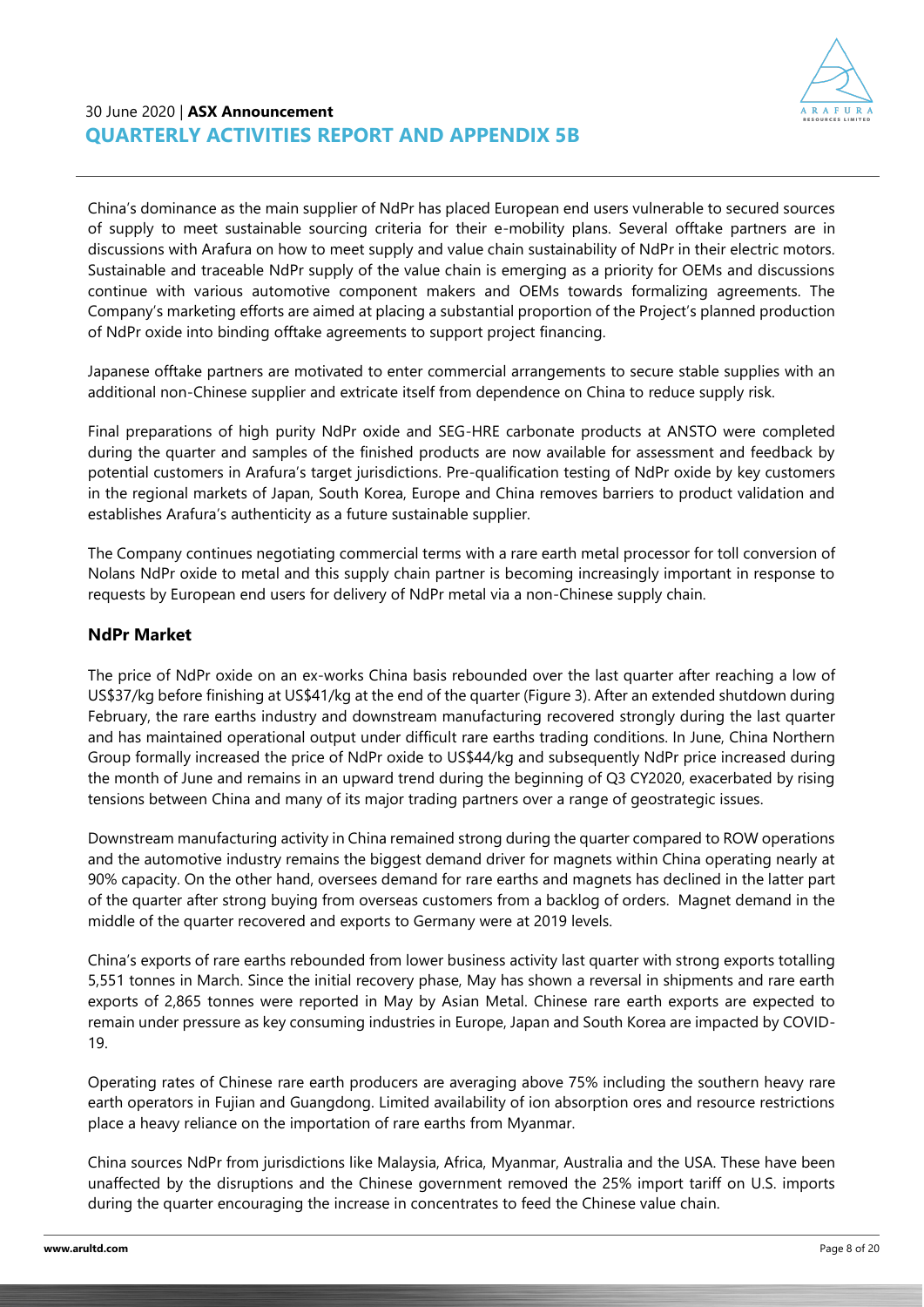

China's dominance as the main supplier of NdPr has placed European end users vulnerable to secured sources of supply to meet sustainable sourcing criteria for their e-mobility plans. Several offtake partners are in discussions with Arafura on how to meet supply and value chain sustainability of NdPr in their electric motors. Sustainable and traceable NdPr supply of the value chain is emerging as a priority for OEMs and discussions continue with various automotive component makers and OEMs towards formalizing agreements. The Company's marketing efforts are aimed at placing a substantial proportion of the Project's planned production of NdPr oxide into binding offtake agreements to support project financing.

Japanese offtake partners are motivated to enter commercial arrangements to secure stable supplies with an additional non-Chinese supplier and extricate itself from dependence on China to reduce supply risk.

Final preparations of high purity NdPr oxide and SEG-HRE carbonate products at ANSTO were completed during the quarter and samples of the finished products are now available for assessment and feedback by potential customers in Arafura's target jurisdictions. Pre-qualification testing of NdPr oxide by key customers in the regional markets of Japan, South Korea, Europe and China removes barriers to product validation and establishes Arafura's authenticity as a future sustainable supplier.

The Company continues negotiating commercial terms with a rare earth metal processor for toll conversion of Nolans NdPr oxide to metal and this supply chain partner is becoming increasingly important in response to requests by European end users for delivery of NdPr metal via a non-Chinese supply chain.

### **NdPr Market**

The price of NdPr oxide on an ex-works China basis rebounded over the last quarter after reaching a low of US\$37/kg before finishing at US\$41/kg at the end of the quarter (Figure 3). After an extended shutdown during February, the rare earths industry and downstream manufacturing recovered strongly during the last quarter and has maintained operational output under difficult rare earths trading conditions. In June, China Northern Group formally increased the price of NdPr oxide to US\$44/kg and subsequently NdPr price increased during the month of June and remains in an upward trend during the beginning of Q3 CY2020, exacerbated by rising tensions between China and many of its major trading partners over a range of geostrategic issues.

Downstream manufacturing activity in China remained strong during the quarter compared to ROW operations and the automotive industry remains the biggest demand driver for magnets within China operating nearly at 90% capacity. On the other hand, oversees demand for rare earths and magnets has declined in the latter part of the quarter after strong buying from overseas customers from a backlog of orders. Magnet demand in the middle of the quarter recovered and exports to Germany were at 2019 levels.

China's exports of rare earths rebounded from lower business activity last quarter with strong exports totalling 5,551 tonnes in March. Since the initial recovery phase, May has shown a reversal in shipments and rare earth exports of 2,865 tonnes were reported in May by Asian Metal. Chinese rare earth exports are expected to remain under pressure as key consuming industries in Europe, Japan and South Korea are impacted by COVID-19.

Operating rates of Chinese rare earth producers are averaging above 75% including the southern heavy rare earth operators in Fujian and Guangdong. Limited availability of ion absorption ores and resource restrictions place a heavy reliance on the importation of rare earths from Myanmar.

China sources NdPr from jurisdictions like Malaysia, Africa, Myanmar, Australia and the USA. These have been unaffected by the disruptions and the Chinese government removed the 25% import tariff on U.S. imports during the quarter encouraging the increase in concentrates to feed the Chinese value chain.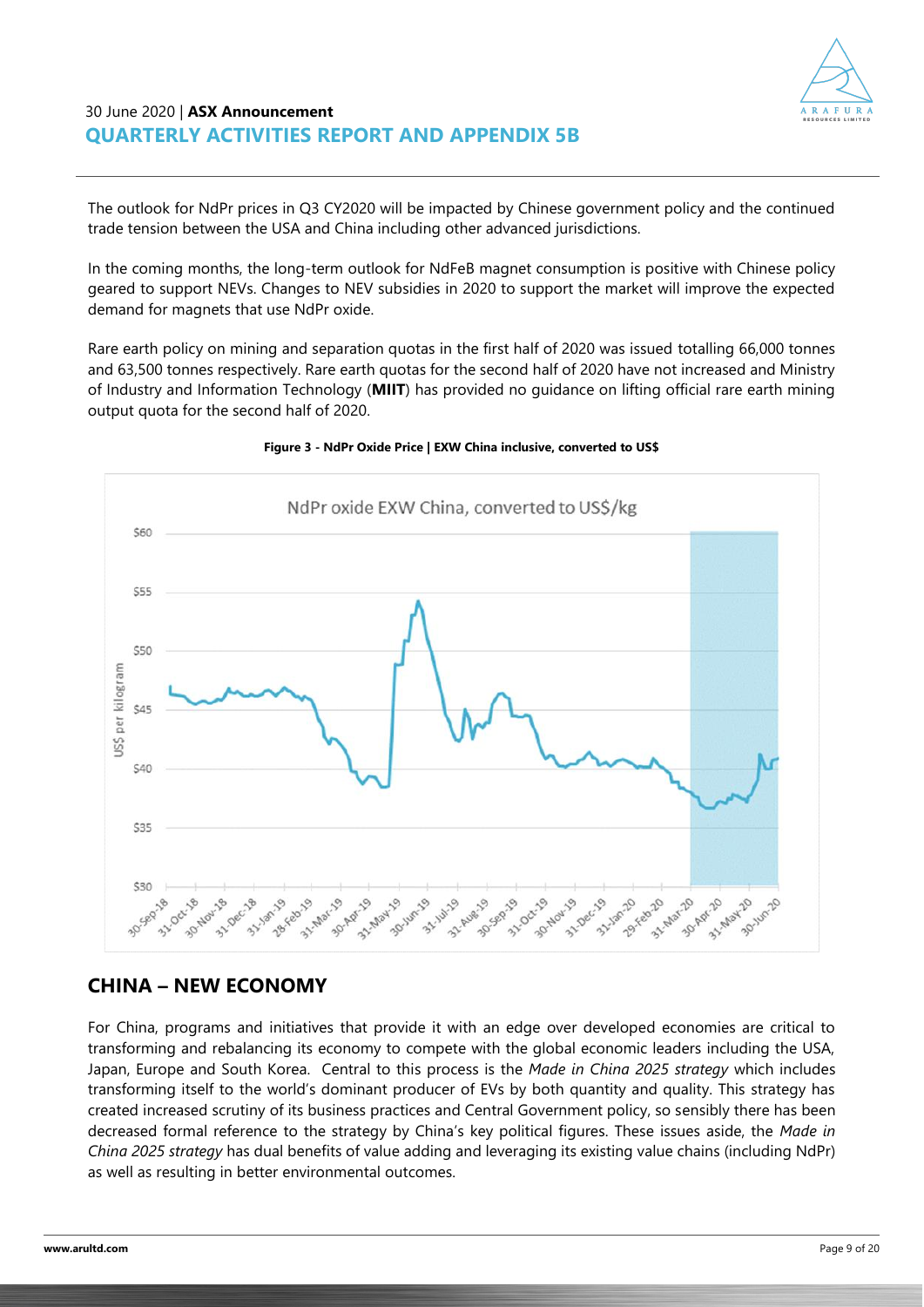

The outlook for NdPr prices in Q3 CY2020 will be impacted by Chinese government policy and the continued trade tension between the USA and China including other advanced jurisdictions.

In the coming months, the long-term outlook for NdFeB magnet consumption is positive with Chinese policy geared to support NEVs. Changes to NEV subsidies in 2020 to support the market will improve the expected demand for magnets that use NdPr oxide.

Rare earth policy on mining and separation quotas in the first half of 2020 was issued totalling 66,000 tonnes and 63,500 tonnes respectively. Rare earth quotas for the second half of 2020 have not increased and Ministry of Industry and Information Technology (**MIIT**) has provided no guidance on lifting official rare earth mining output quota for the second half of 2020.



#### **Figure 3 - NdPr Oxide Price | EXW China inclusive, converted to US\$**

### **CHINA – NEW ECONOMY**

For China, programs and initiatives that provide it with an edge over developed economies are critical to transforming and rebalancing its economy to compete with the global economic leaders including the USA, Japan, Europe and South Korea. Central to this process is the *Made in China 2025 strategy* which includes transforming itself to the world's dominant producer of EVs by both quantity and quality. This strategy has created increased scrutiny of its business practices and Central Government policy, so sensibly there has been decreased formal reference to the strategy by China's key political figures. These issues aside, the *Made in China 2025 strategy* has dual benefits of value adding and leveraging its existing value chains (including NdPr) as well as resulting in better environmental outcomes.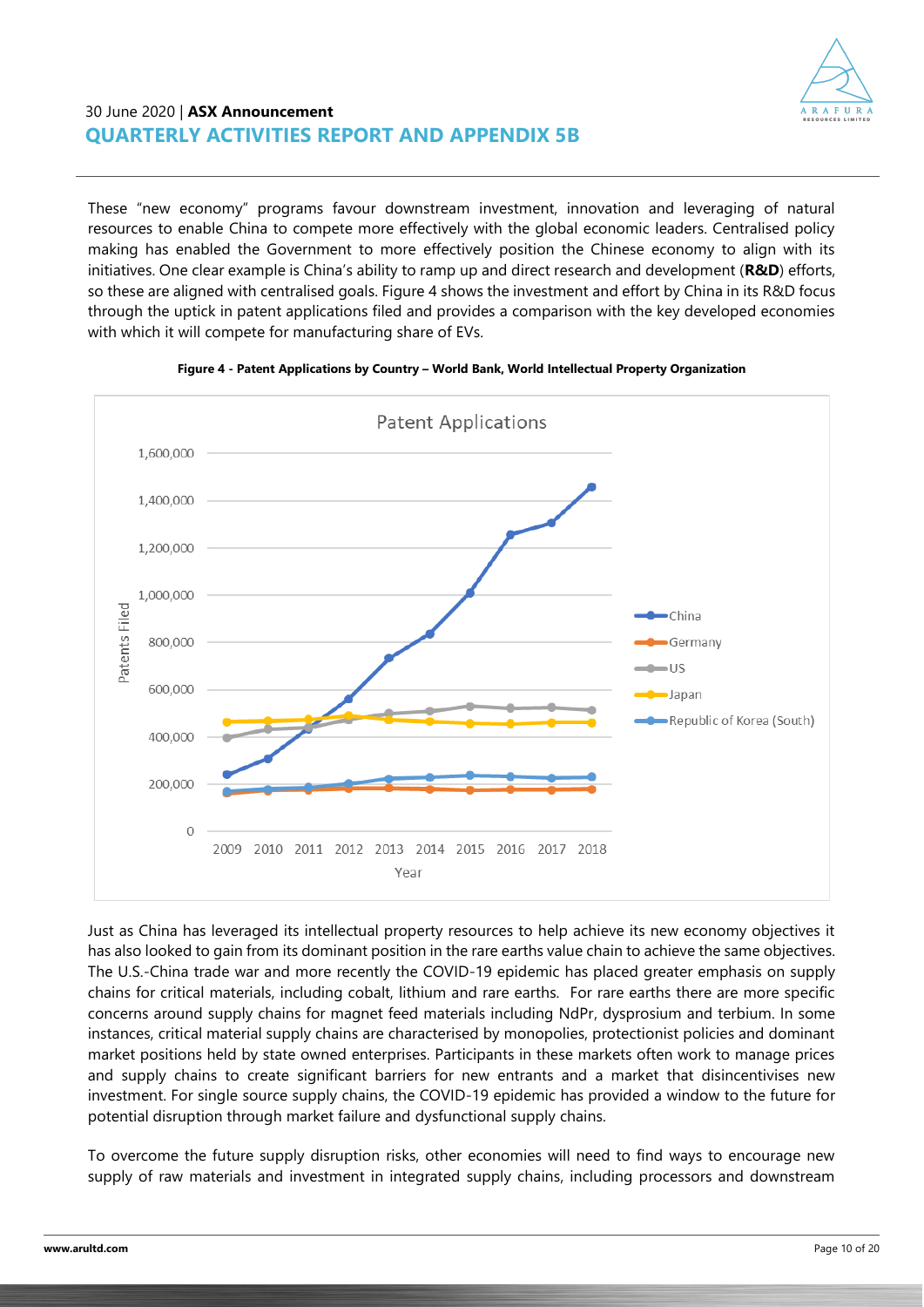

These "new economy" programs favour downstream investment, innovation and leveraging of natural resources to enable China to compete more effectively with the global economic leaders. Centralised policy making has enabled the Government to more effectively position the Chinese economy to align with its initiatives. One clear example is China's ability to ramp up and direct research and development (**R&D**) efforts, so these are aligned with centralised goals. Figure 4 shows the investment and effort by China in its R&D focus through the uptick in patent applications filed and provides a comparison with the key developed economies with which it will compete for manufacturing share of EVs.





Just as China has leveraged its intellectual property resources to help achieve its new economy objectives it has also looked to gain from its dominant position in the rare earths value chain to achieve the same objectives. The U.S.-China trade war and more recently the COVID-19 epidemic has placed greater emphasis on supply chains for critical materials, including cobalt, lithium and rare earths. For rare earths there are more specific concerns around supply chains for magnet feed materials including NdPr, dysprosium and terbium. In some instances, critical material supply chains are characterised by monopolies, protectionist policies and dominant market positions held by state owned enterprises. Participants in these markets often work to manage prices and supply chains to create significant barriers for new entrants and a market that disincentivises new investment. For single source supply chains, the COVID-19 epidemic has provided a window to the future for potential disruption through market failure and dysfunctional supply chains.

To overcome the future supply disruption risks, other economies will need to find ways to encourage new supply of raw materials and investment in integrated supply chains, including processors and downstream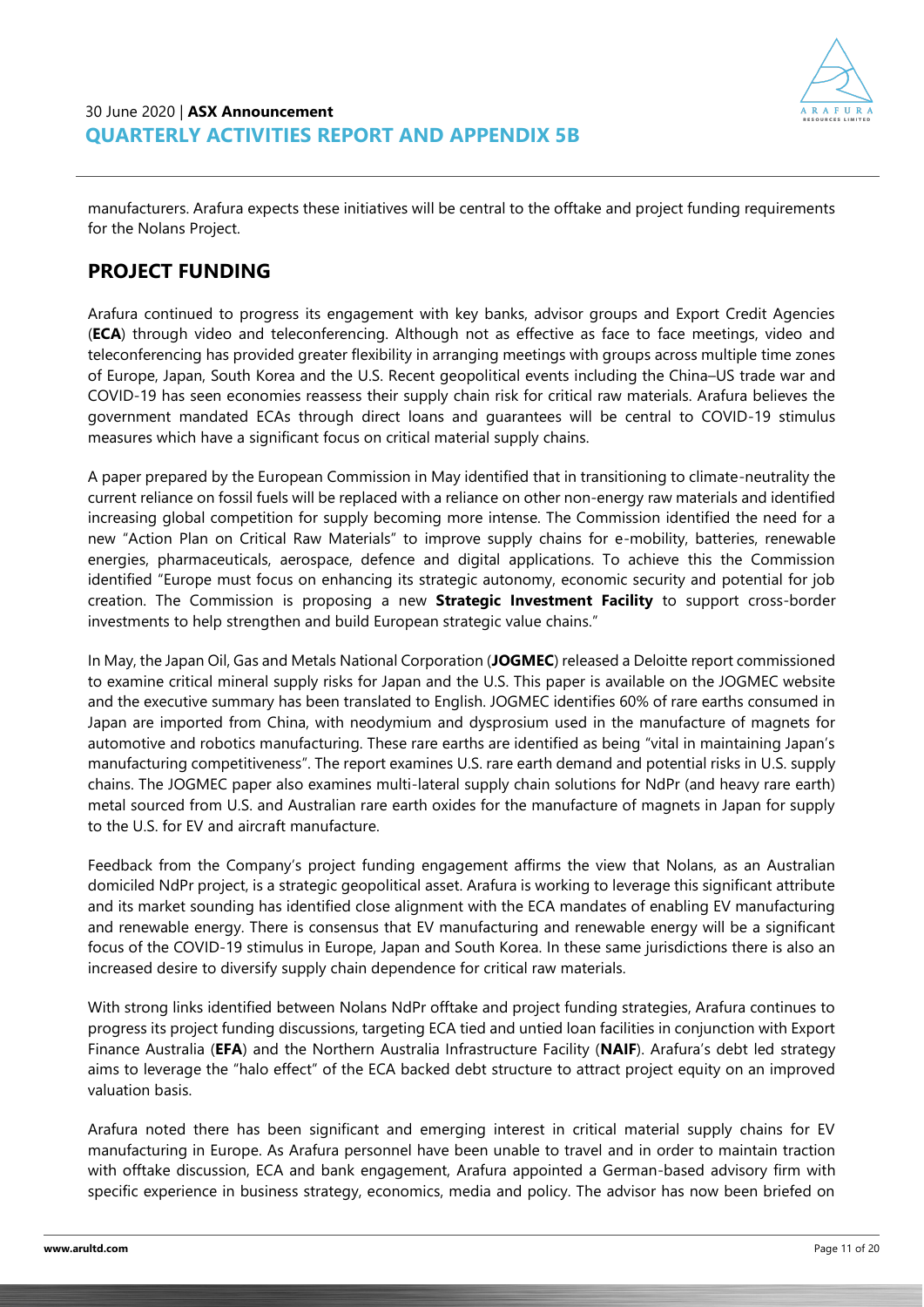

manufacturers. Arafura expects these initiatives will be central to the offtake and project funding requirements for the Nolans Project.

### **PROJECT FUNDING**

Arafura continued to progress its engagement with key banks, advisor groups and Export Credit Agencies (**ECA**) through video and teleconferencing. Although not as effective as face to face meetings, video and teleconferencing has provided greater flexibility in arranging meetings with groups across multiple time zones of Europe, Japan, South Korea and the U.S. Recent geopolitical events including the China–US trade war and COVID-19 has seen economies reassess their supply chain risk for critical raw materials. Arafura believes the government mandated ECAs through direct loans and guarantees will be central to COVID-19 stimulus measures which have a significant focus on critical material supply chains.

A paper prepared by the European Commission in May identified that in transitioning to climate-neutrality the current reliance on fossil fuels will be replaced with a reliance on other non-energy raw materials and identified increasing global competition for supply becoming more intense. The Commission identified the need for a new "Action Plan on Critical Raw Materials" to improve supply chains for e-mobility, batteries, renewable energies, pharmaceuticals, aerospace, defence and digital applications. To achieve this the Commission identified "Europe must focus on enhancing its strategic autonomy, economic security and potential for job creation. The Commission is proposing a new **Strategic Investment Facility** to support cross-border investments to help strengthen and build European strategic value chains."

In May, the Japan Oil, Gas and Metals National Corporation (**JOGMEC**) released a Deloitte report commissioned to examine critical mineral supply risks for Japan and the U.S. This paper is available on the JOGMEC website and the executive summary has been translated to English. JOGMEC identifies 60% of rare earths consumed in Japan are imported from China, with neodymium and dysprosium used in the manufacture of magnets for automotive and robotics manufacturing. These rare earths are identified as being "vital in maintaining Japan's manufacturing competitiveness". The report examines U.S. rare earth demand and potential risks in U.S. supply chains. The JOGMEC paper also examines multi-lateral supply chain solutions for NdPr (and heavy rare earth) metal sourced from U.S. and Australian rare earth oxides for the manufacture of magnets in Japan for supply to the U.S. for EV and aircraft manufacture.

Feedback from the Company's project funding engagement affirms the view that Nolans, as an Australian domiciled NdPr project, is a strategic geopolitical asset. Arafura is working to leverage this significant attribute and its market sounding has identified close alignment with the ECA mandates of enabling EV manufacturing and renewable energy. There is consensus that EV manufacturing and renewable energy will be a significant focus of the COVID-19 stimulus in Europe, Japan and South Korea. In these same jurisdictions there is also an increased desire to diversify supply chain dependence for critical raw materials.

With strong links identified between Nolans NdPr offtake and project funding strategies, Arafura continues to progress its project funding discussions, targeting ECA tied and untied loan facilities in conjunction with Export Finance Australia (**EFA**) and the Northern Australia Infrastructure Facility (**NAIF**). Arafura's debt led strategy aims to leverage the "halo effect" of the ECA backed debt structure to attract project equity on an improved valuation basis.

Arafura noted there has been significant and emerging interest in critical material supply chains for EV manufacturing in Europe. As Arafura personnel have been unable to travel and in order to maintain traction with offtake discussion, ECA and bank engagement, Arafura appointed a German-based advisory firm with specific experience in business strategy, economics, media and policy. The advisor has now been briefed on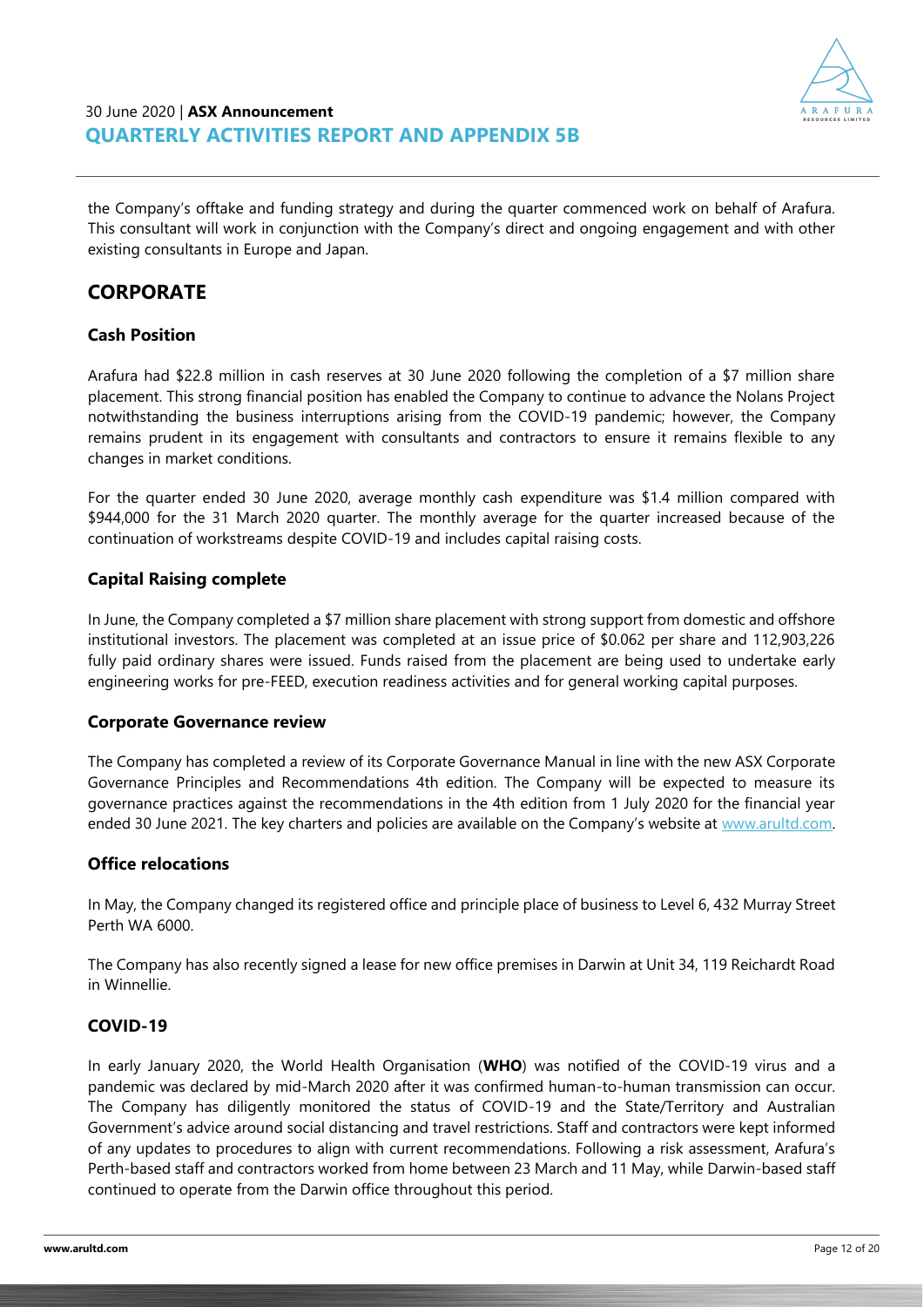

the Company's offtake and funding strategy and during the quarter commenced work on behalf of Arafura. This consultant will work in conjunction with the Company's direct and ongoing engagement and with other existing consultants in Europe and Japan.

# **CORPORATE**

### **Cash Position**

Arafura had \$22.8 million in cash reserves at 30 June 2020 following the completion of a \$7 million share placement. This strong financial position has enabled the Company to continue to advance the Nolans Project notwithstanding the business interruptions arising from the COVID-19 pandemic; however, the Company remains prudent in its engagement with consultants and contractors to ensure it remains flexible to any changes in market conditions.

For the quarter ended 30 June 2020, average monthly cash expenditure was \$1.4 million compared with \$944,000 for the 31 March 2020 quarter. The monthly average for the quarter increased because of the continuation of workstreams despite COVID-19 and includes capital raising costs.

#### **Capital Raising complete**

In June, the Company completed a \$7 million share placement with strong support from domestic and offshore institutional investors. The placement was completed at an issue price of \$0.062 per share and 112,903,226 fully paid ordinary shares were issued. Funds raised from the placement are being used to undertake early engineering works for pre-FEED, execution readiness activities and for general working capital purposes.

#### **Corporate Governance review**

The Company has completed a review of its Corporate Governance Manual in line with the new ASX Corporate Governance Principles and Recommendations 4th edition. The Company will be expected to measure its governance practices against the recommendations in the 4th edition from 1 July 2020 for the financial year ended 30 June 2021. The key charters and policies are available on the Company's website at www.arultd.com.

#### **Office relocations**

In May, the Company changed its registered office and principle place of business to Level 6, 432 Murray Street Perth WA 6000.

The Company has also recently signed a lease for new office premises in Darwin at Unit 34, 119 Reichardt Road in Winnellie.

#### **COVID-19**

In early January 2020, the World Health Organisation (**WHO**) was notified of the COVID-19 virus and a pandemic was declared by mid-March 2020 after it was confirmed human-to-human transmission can occur. The Company has diligently monitored the status of COVID-19 and the State/Territory and Australian Government's advice around social distancing and travel restrictions. Staff and contractors were kept informed of any updates to procedures to align with current recommendations. Following a risk assessment, Arafura's Perth-based staff and contractors worked from home between 23 March and 11 May, while Darwin-based staff continued to operate from the Darwin office throughout this period.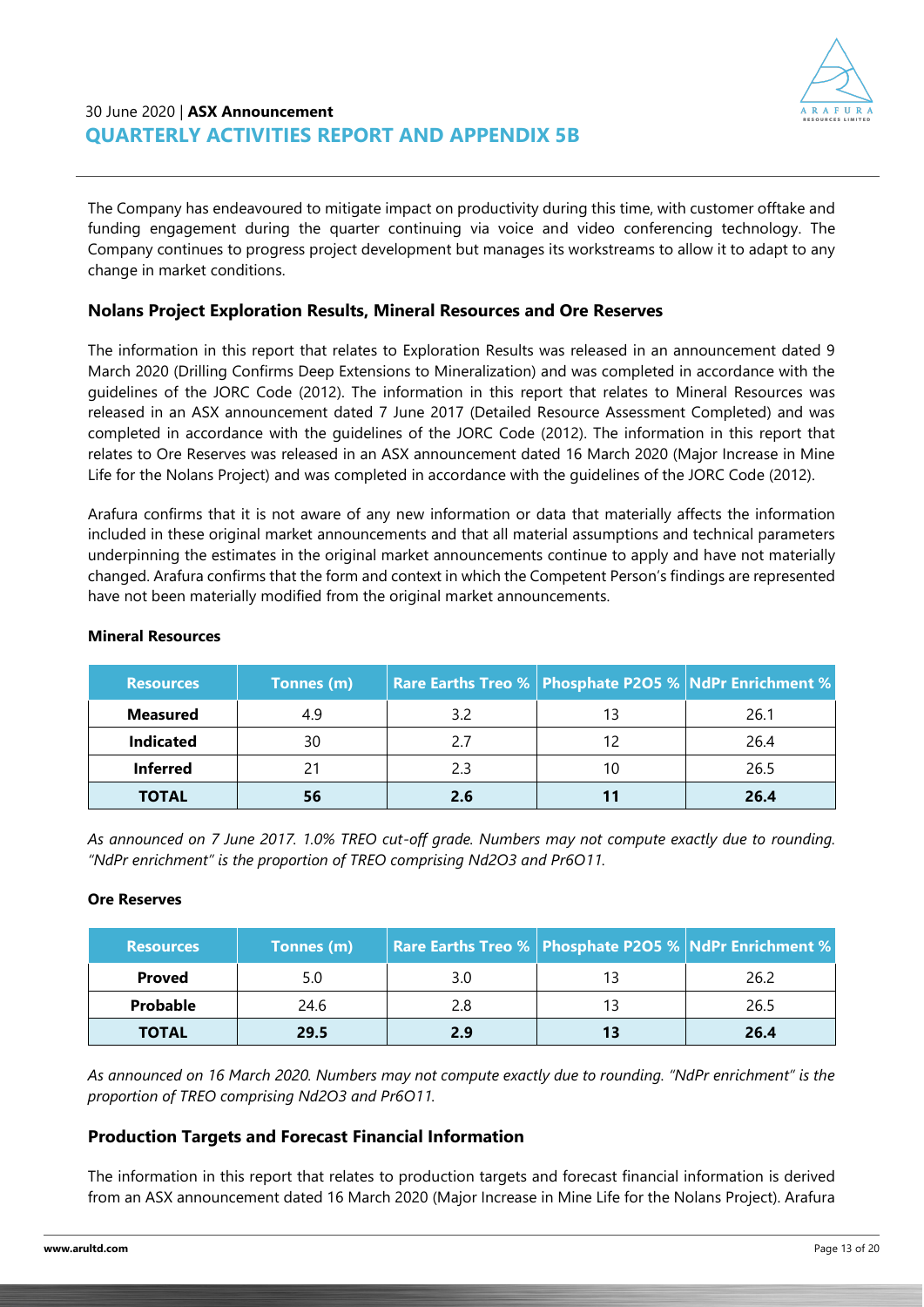

The Company has endeavoured to mitigate impact on productivity during this time, with customer offtake and funding engagement during the quarter continuing via voice and video conferencing technology. The Company continues to progress project development but manages its workstreams to allow it to adapt to any change in market conditions.

### **Nolans Project Exploration Results, Mineral Resources and Ore Reserves**

The information in this report that relates to Exploration Results was released in an announcement dated 9 March 2020 (Drilling Confirms Deep Extensions to Mineralization) and was completed in accordance with the guidelines of the JORC Code (2012). The information in this report that relates to Mineral Resources was released in an ASX announcement dated 7 June 2017 (Detailed Resource Assessment Completed) and was completed in accordance with the guidelines of the JORC Code (2012). The information in this report that relates to Ore Reserves was released in an ASX announcement dated 16 March 2020 (Major Increase in Mine Life for the Nolans Project) and was completed in accordance with the guidelines of the JORC Code (2012).

Arafura confirms that it is not aware of any new information or data that materially affects the information included in these original market announcements and that all material assumptions and technical parameters underpinning the estimates in the original market announcements continue to apply and have not materially changed. Arafura confirms that the form and context in which the Competent Person's findings are represented have not been materially modified from the original market announcements.

| Resources        | Tonnes (m) |     |    | <b>Rare Earths Treo %   Phosphate P2O5 %   NdPr Enrichment %</b> |
|------------------|------------|-----|----|------------------------------------------------------------------|
| <b>Measured</b>  | 4.9        | 32  | 13 | 26.1                                                             |
| <b>Indicated</b> | 30         |     | 12 | 26.4                                                             |
| <b>Inferred</b>  | 21         |     | 10 | 26.5                                                             |
| <b>TOTAL</b>     | 56         | 2.6 |    | 26.4                                                             |

#### **Mineral Resources**

*As announced on 7 June 2017. 1.0% TREO cut-off grade. Numbers may not compute exactly due to rounding. "NdPr enrichment" is the proportion of TREO comprising Nd2O3 and Pr6O11.*

#### **Ore Reserves**

| <b>Resources</b> | Tonnes (m) |     |    | Rare Earths Treo %   Phosphate P2O5 %   NdPr Enrichment % |
|------------------|------------|-----|----|-----------------------------------------------------------|
| <b>Proved</b>    | 5.0        | 3.0 | 13 | 26.2                                                      |
| <b>Probable</b>  | 24.6       | 28  | 13 | 26.5                                                      |
| <b>TOTAL</b>     | 29.5       | эq  | 13 | 26.4                                                      |

*As announced on 16 March 2020. Numbers may not compute exactly due to rounding. "NdPr enrichment" is the proportion of TREO comprising Nd2O3 and Pr6O11.*

#### **Production Targets and Forecast Financial Information**

The information in this report that relates to production targets and forecast financial information is derived from an ASX announcement dated 16 March 2020 (Major Increase in Mine Life for the Nolans Project). Arafura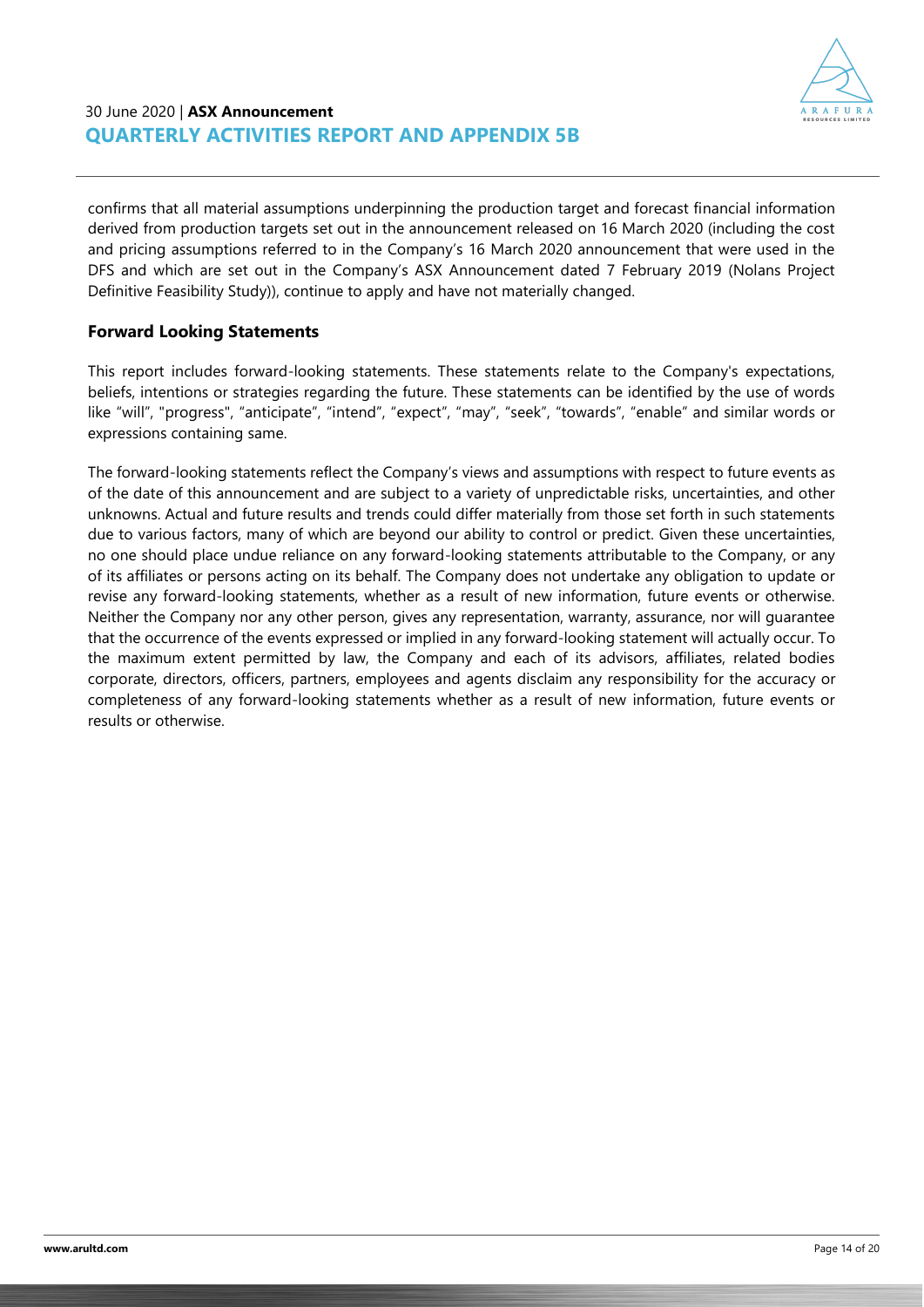

confirms that all material assumptions underpinning the production target and forecast financial information derived from production targets set out in the announcement released on 16 March 2020 (including the cost and pricing assumptions referred to in the Company's 16 March 2020 announcement that were used in the DFS and which are set out in the Company's ASX Announcement dated 7 February 2019 (Nolans Project Definitive Feasibility Study)), continue to apply and have not materially changed.

### **Forward Looking Statements**

This report includes forward-looking statements. These statements relate to the Company's expectations, beliefs, intentions or strategies regarding the future. These statements can be identified by the use of words like "will", "progress", "anticipate", "intend", "expect", "may", "seek", "towards", "enable" and similar words or expressions containing same.

The forward-looking statements reflect the Company's views and assumptions with respect to future events as of the date of this announcement and are subject to a variety of unpredictable risks, uncertainties, and other unknowns. Actual and future results and trends could differ materially from those set forth in such statements due to various factors, many of which are beyond our ability to control or predict. Given these uncertainties, no one should place undue reliance on any forward-looking statements attributable to the Company, or any of its affiliates or persons acting on its behalf. The Company does not undertake any obligation to update or revise any forward-looking statements, whether as a result of new information, future events or otherwise. Neither the Company nor any other person, gives any representation, warranty, assurance, nor will guarantee that the occurrence of the events expressed or implied in any forward-looking statement will actually occur. To the maximum extent permitted by law, the Company and each of its advisors, affiliates, related bodies corporate, directors, officers, partners, employees and agents disclaim any responsibility for the accuracy or completeness of any forward-looking statements whether as a result of new information, future events or results or otherwise.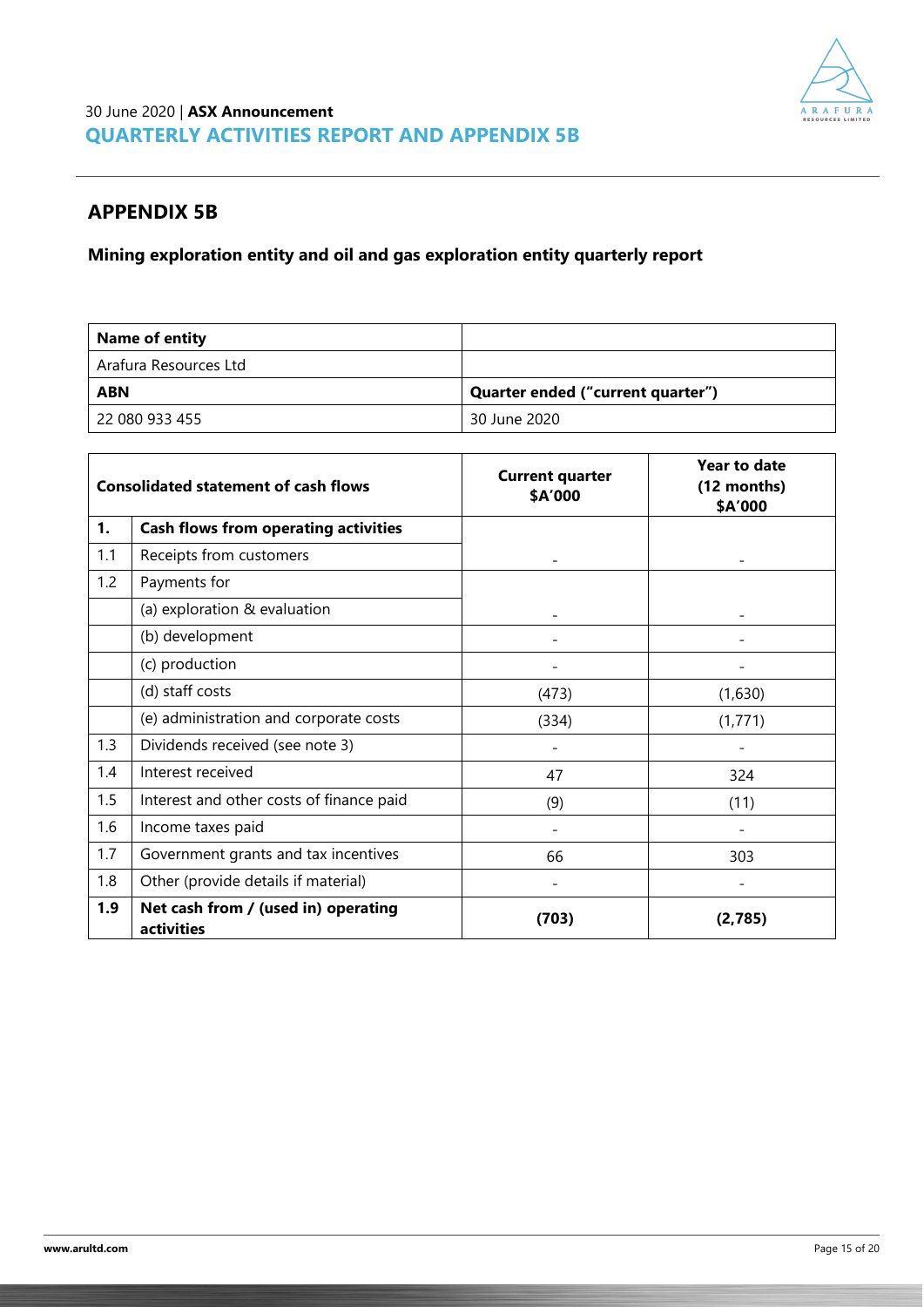

### **APPENDIX 5B**

**Mining exploration entity and oil and gas exploration entity quarterly report**

| <b>Name of entity</b> |                                   |
|-----------------------|-----------------------------------|
| Arafura Resources Ltd |                                   |
| <b>ABN</b>            | Quarter ended ("current quarter") |
| 22 080 933 455        | 30 June 2020                      |

| <b>Consolidated statement of cash flows</b> |                                                   | <b>Current quarter</b><br>\$A'000 | <b>Year to date</b><br>(12 months)<br>\$A'000 |  |
|---------------------------------------------|---------------------------------------------------|-----------------------------------|-----------------------------------------------|--|
| 1.                                          | <b>Cash flows from operating activities</b>       |                                   |                                               |  |
| 1.1                                         | Receipts from customers                           |                                   |                                               |  |
| 1.2                                         | Payments for                                      |                                   |                                               |  |
|                                             | (a) exploration & evaluation                      |                                   |                                               |  |
|                                             | (b) development                                   |                                   |                                               |  |
|                                             | (c) production                                    | $\overline{\phantom{a}}$          | $\qquad \qquad \blacksquare$                  |  |
|                                             | (d) staff costs                                   | (473)                             | (1,630)                                       |  |
|                                             | (e) administration and corporate costs            | (334)                             | (1, 771)                                      |  |
| 1.3                                         | Dividends received (see note 3)                   |                                   |                                               |  |
| 1.4                                         | Interest received                                 | 47                                | 324                                           |  |
| 1.5                                         | Interest and other costs of finance paid          | (9)                               | (11)                                          |  |
| 1.6                                         | Income taxes paid                                 |                                   |                                               |  |
| 1.7                                         | Government grants and tax incentives              | 66                                | 303                                           |  |
| 1.8                                         | Other (provide details if material)               |                                   |                                               |  |
| 1.9                                         | Net cash from / (used in) operating<br>activities | (703)                             | (2,785)                                       |  |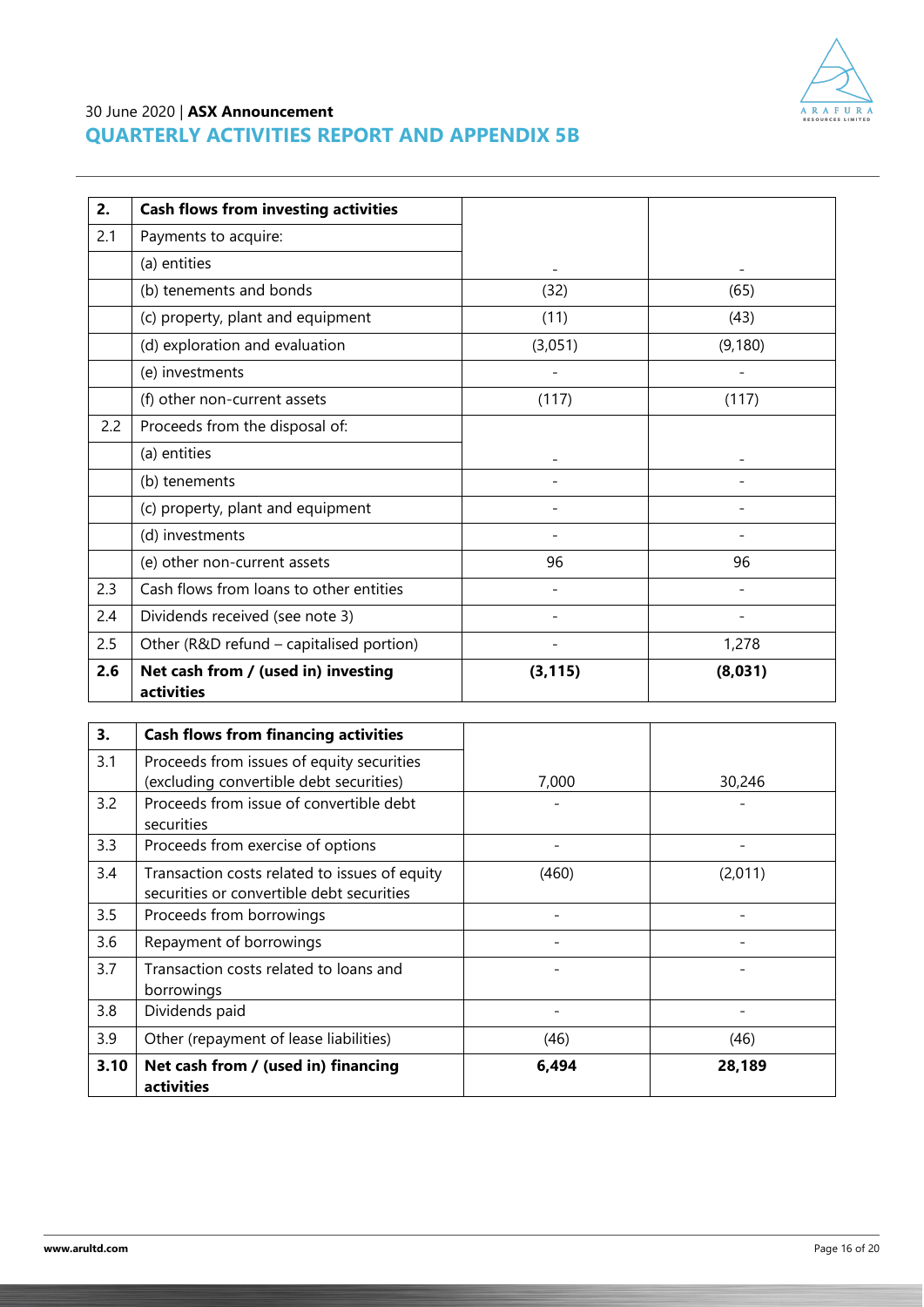

| 2.  | <b>Cash flows from investing activities</b>       |          |         |
|-----|---------------------------------------------------|----------|---------|
| 2.1 | Payments to acquire:                              |          |         |
|     | (a) entities                                      |          |         |
|     | (b) tenements and bonds                           | (32)     | (65)    |
|     | (c) property, plant and equipment                 | (11)     | (43)    |
|     | (d) exploration and evaluation                    | (3,051)  | (9,180) |
|     | (e) investments                                   |          |         |
|     | (f) other non-current assets                      | (117)    | (117)   |
| 2.2 | Proceeds from the disposal of:                    |          |         |
|     | (a) entities                                      |          |         |
|     | (b) tenements                                     |          |         |
|     | (c) property, plant and equipment                 |          |         |
|     | (d) investments                                   |          |         |
|     | (e) other non-current assets                      | 96       | 96      |
| 2.3 | Cash flows from loans to other entities           |          |         |
| 2.4 | Dividends received (see note 3)                   |          |         |
| 2.5 | Other (R&D refund - capitalised portion)          |          | 1,278   |
| 2.6 | Net cash from / (used in) investing<br>activities | (3, 115) | (8,031) |

| 3.   | <b>Cash flows from financing activities</b>                                                |       |         |
|------|--------------------------------------------------------------------------------------------|-------|---------|
| 3.1  | Proceeds from issues of equity securities<br>(excluding convertible debt securities)       | 7,000 | 30,246  |
| 3.2  | Proceeds from issue of convertible debt<br>securities                                      |       |         |
| 3.3  | Proceeds from exercise of options                                                          |       |         |
| 3.4  | Transaction costs related to issues of equity<br>securities or convertible debt securities | (460) | (2,011) |
| 3.5  | Proceeds from borrowings                                                                   |       |         |
| 3.6  | Repayment of borrowings                                                                    |       |         |
| 3.7  | Transaction costs related to loans and<br>borrowings                                       |       |         |
| 3.8  | Dividends paid                                                                             |       |         |
| 3.9  | Other (repayment of lease liabilities)                                                     | (46)  | (46)    |
| 3.10 | Net cash from / (used in) financing<br>activities                                          | 6,494 | 28,189  |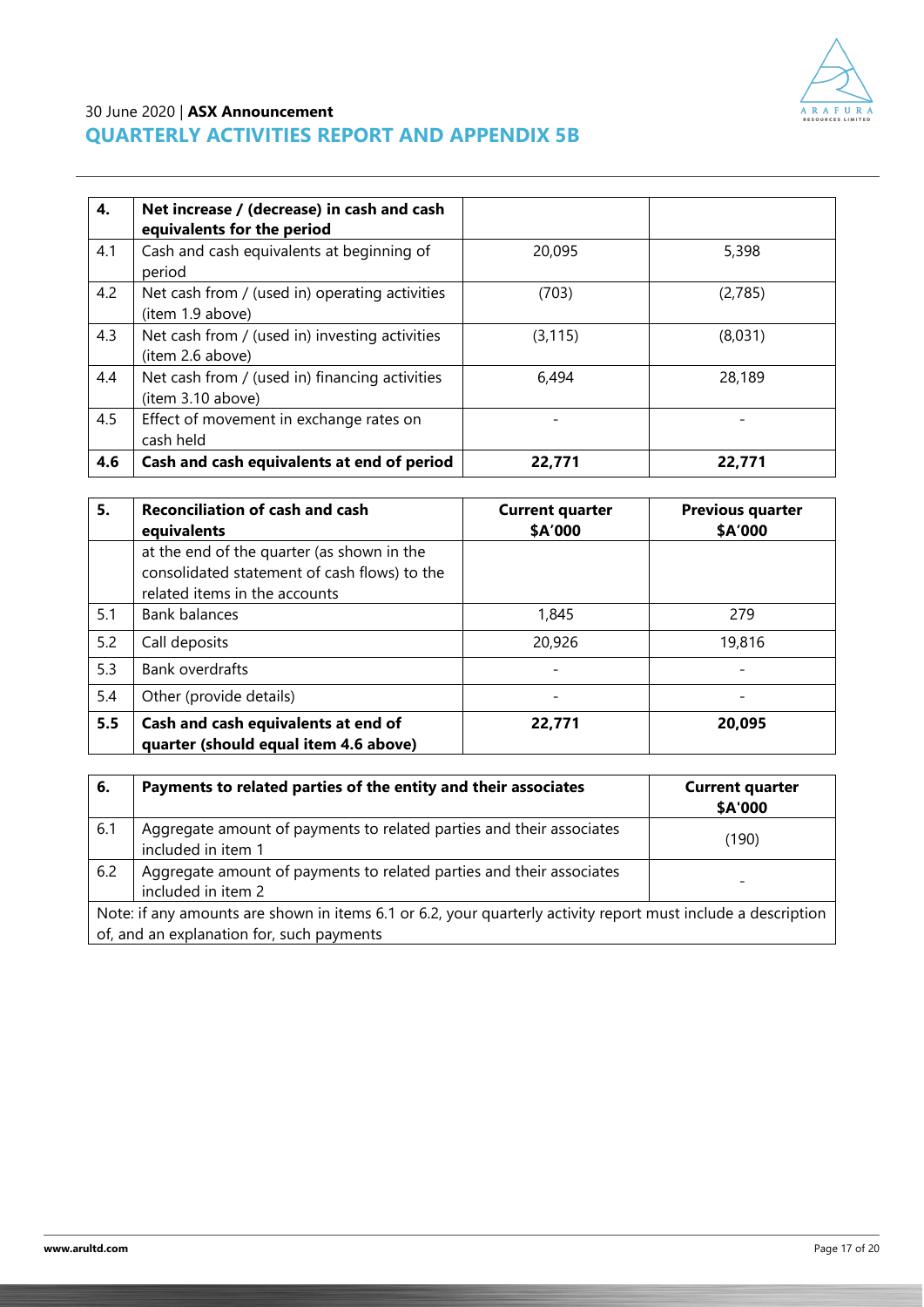

| 4.  | Net increase / (decrease) in cash and cash<br>equivalents for the period |          |         |
|-----|--------------------------------------------------------------------------|----------|---------|
| 4.1 | Cash and cash equivalents at beginning of<br>period                      | 20,095   | 5,398   |
| 4.2 | Net cash from / (used in) operating activities<br>(item 1.9 above)       | (703)    | (2,785) |
| 4.3 | Net cash from / (used in) investing activities<br>(item 2.6 above)       | (3, 115) | (8,031) |
| 4.4 | Net cash from / (used in) financing activities<br>(item 3.10 above)      | 6,494    | 28,189  |
| 4.5 | Effect of movement in exchange rates on<br>cash held                     |          |         |
| 4.6 | Cash and cash equivalents at end of period                               | 22,771   | 22,771  |

| 5.  | <b>Reconciliation of cash and cash</b><br>equivalents                                                                       | <b>Current quarter</b><br>\$A'000 | <b>Previous quarter</b><br>\$A'000 |  |
|-----|-----------------------------------------------------------------------------------------------------------------------------|-----------------------------------|------------------------------------|--|
|     | at the end of the quarter (as shown in the<br>consolidated statement of cash flows) to the<br>related items in the accounts |                                   |                                    |  |
| 5.1 | Bank balances                                                                                                               | 1,845                             | 279                                |  |
| 5.2 | Call deposits                                                                                                               | 20,926                            | 19,816                             |  |
| 5.3 | Bank overdrafts                                                                                                             |                                   |                                    |  |
| 5.4 | Other (provide details)                                                                                                     |                                   |                                    |  |
| 5.5 | Cash and cash equivalents at end of<br>quarter (should equal item 4.6 above)                                                | 22,771                            | 20,095                             |  |

| 6.  | Payments to related parties of the entity and their associates                                                                                             | <b>Current quarter</b><br>\$A'000 |
|-----|------------------------------------------------------------------------------------------------------------------------------------------------------------|-----------------------------------|
| 6.1 | Aggregate amount of payments to related parties and their associates<br>included in item 1                                                                 | (190)                             |
| 6.2 | Aggregate amount of payments to related parties and their associates<br>included in item 2                                                                 |                                   |
|     | Note: if any amounts are shown in items 6.1 or 6.2, your quarterly activity report must include a description<br>of, and an explanation for, such payments |                                   |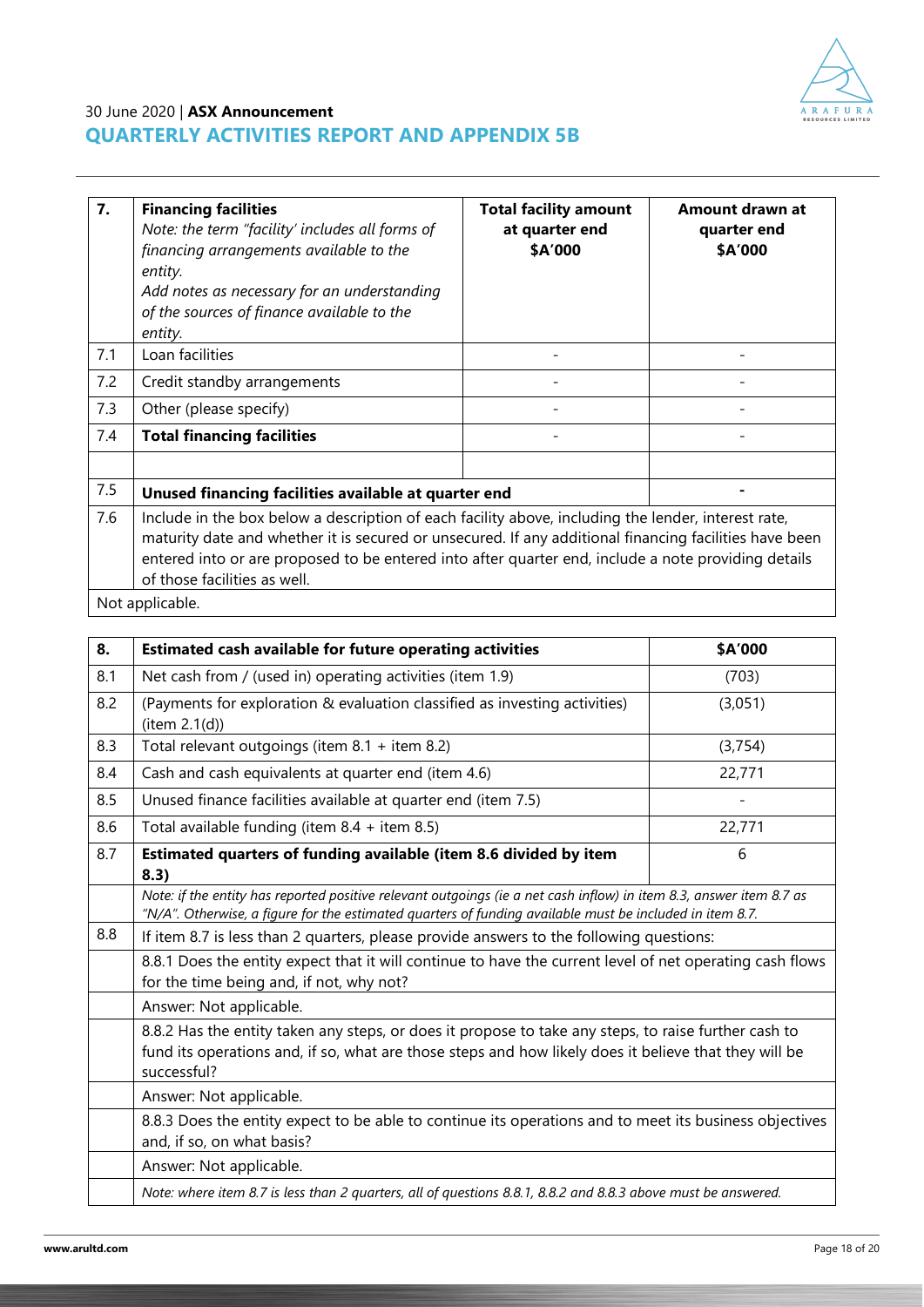

| $\overline{7}$ . | <b>Financing facilities</b><br>Note: the term "facility' includes all forms of<br>financing arrangements available to the<br>entity.<br>Add notes as necessary for an understanding<br>of the sources of finance available to the<br>entity.                                                                                                         | <b>Total facility amount</b><br>at quarter end<br>\$A'000 | Amount drawn at<br>quarter end<br>\$A'000 |  |  |  |
|------------------|------------------------------------------------------------------------------------------------------------------------------------------------------------------------------------------------------------------------------------------------------------------------------------------------------------------------------------------------------|-----------------------------------------------------------|-------------------------------------------|--|--|--|
| 7.1              | Loan facilities                                                                                                                                                                                                                                                                                                                                      |                                                           |                                           |  |  |  |
| 7.2              | Credit standby arrangements                                                                                                                                                                                                                                                                                                                          |                                                           |                                           |  |  |  |
| 7.3              | Other (please specify)                                                                                                                                                                                                                                                                                                                               |                                                           |                                           |  |  |  |
| 7.4              | <b>Total financing facilities</b>                                                                                                                                                                                                                                                                                                                    |                                                           |                                           |  |  |  |
|                  |                                                                                                                                                                                                                                                                                                                                                      |                                                           |                                           |  |  |  |
| 7.5              | Unused financing facilities available at quarter end                                                                                                                                                                                                                                                                                                 |                                                           |                                           |  |  |  |
| 7.6              | Include in the box below a description of each facility above, including the lender, interest rate,<br>maturity date and whether it is secured or unsecured. If any additional financing facilities have been<br>entered into or are proposed to be entered into after quarter end, include a note providing details<br>of those facilities as well. |                                                           |                                           |  |  |  |

Not applicable.

| 8.  | Estimated cash available for future operating activities                                                                                                                                                                        | \$A'000 |  |  |  |
|-----|---------------------------------------------------------------------------------------------------------------------------------------------------------------------------------------------------------------------------------|---------|--|--|--|
| 8.1 | Net cash from / (used in) operating activities (item 1.9)                                                                                                                                                                       | (703)   |  |  |  |
| 8.2 | (Payments for exploration & evaluation classified as investing activities)<br>item 2.1(d))                                                                                                                                      | (3,051) |  |  |  |
| 8.3 | Total relevant outgoings (item $8.1 +$ item $8.2$ )                                                                                                                                                                             | (3,754) |  |  |  |
| 8.4 | Cash and cash equivalents at quarter end (item 4.6)                                                                                                                                                                             | 22,771  |  |  |  |
| 8.5 | Unused finance facilities available at quarter end (item 7.5)                                                                                                                                                                   |         |  |  |  |
| 8.6 | Total available funding (item 8.4 + item 8.5)                                                                                                                                                                                   | 22,771  |  |  |  |
| 8.7 | Estimated quarters of funding available (item 8.6 divided by item<br>8.3)                                                                                                                                                       | 6       |  |  |  |
|     | Note: if the entity has reported positive relevant outgoings (ie a net cash inflow) in item 8.3, answer item 8.7 as<br>"N/A". Otherwise, a figure for the estimated quarters of funding available must be included in item 8.7. |         |  |  |  |
| 8.8 | If item 8.7 is less than 2 quarters, please provide answers to the following questions:                                                                                                                                         |         |  |  |  |
|     | 8.8.1 Does the entity expect that it will continue to have the current level of net operating cash flows<br>for the time being and, if not, why not?                                                                            |         |  |  |  |
|     | Answer: Not applicable.                                                                                                                                                                                                         |         |  |  |  |
|     | 8.8.2 Has the entity taken any steps, or does it propose to take any steps, to raise further cash to<br>fund its operations and, if so, what are those steps and how likely does it believe that they will be<br>successful?    |         |  |  |  |
|     | Answer: Not applicable.                                                                                                                                                                                                         |         |  |  |  |
|     | 8.8.3 Does the entity expect to be able to continue its operations and to meet its business objectives<br>and, if so, on what basis?                                                                                            |         |  |  |  |
|     | Answer: Not applicable.                                                                                                                                                                                                         |         |  |  |  |
|     | Note: where item 8.7 is less than 2 quarters, all of questions 8.8.1, 8.8.2 and 8.8.3 above must be answered.                                                                                                                   |         |  |  |  |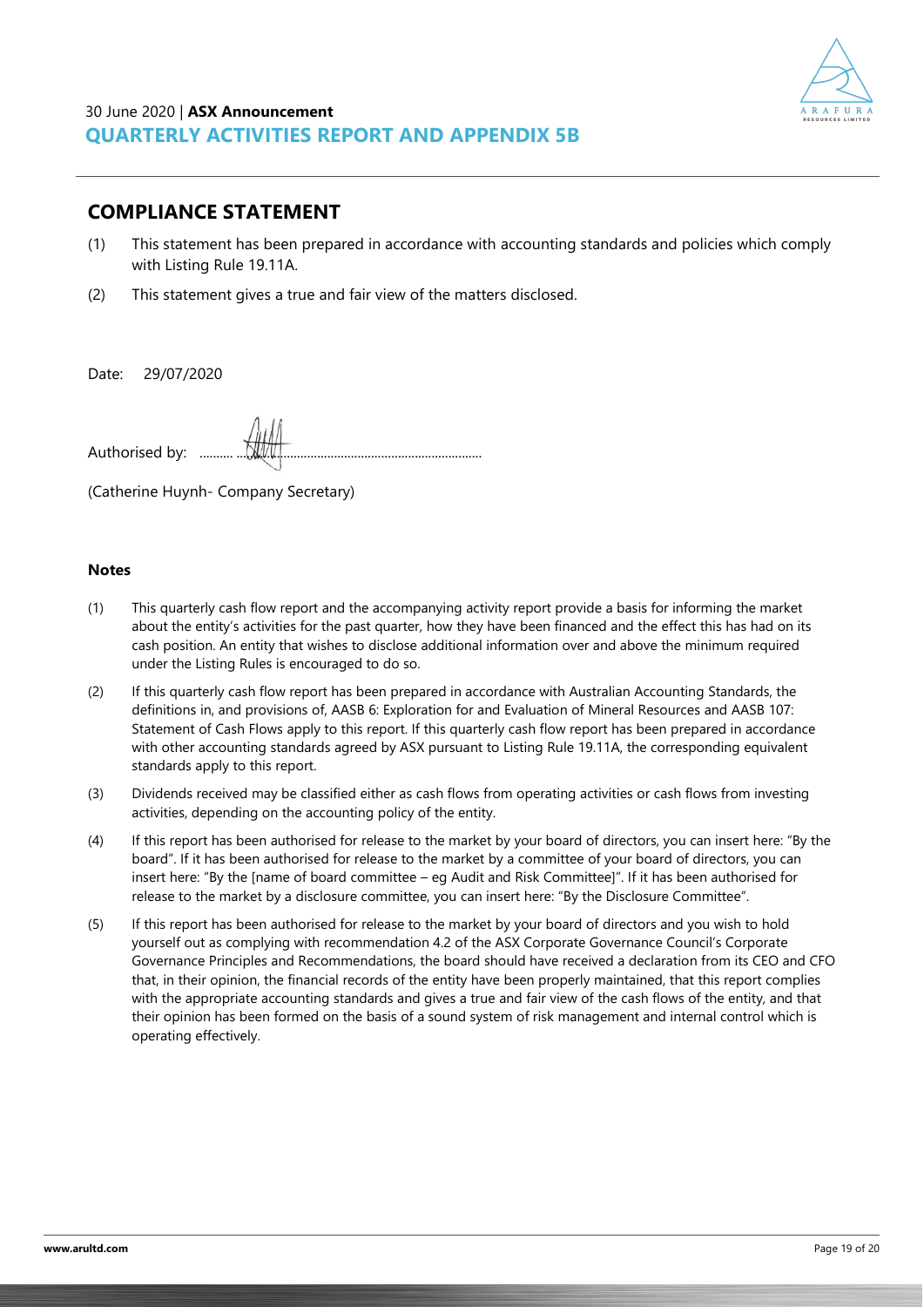

### **COMPLIANCE STATEMENT**

- (1) This statement has been prepared in accordance with accounting standards and policies which comply with Listing Rule 19.11A.
- (2) This statement gives a true and fair view of the matters disclosed.

Date: 29/07/2020

Authorised by:

(Catherine Huynh- Company Secretary)

#### **Notes**

- (1) This quarterly cash flow report and the accompanying activity report provide a basis for informing the market about the entity's activities for the past quarter, how they have been financed and the effect this has had on its cash position. An entity that wishes to disclose additional information over and above the minimum required under the Listing Rules is encouraged to do so.
- (2) If this quarterly cash flow report has been prepared in accordance with Australian Accounting Standards, the definitions in, and provisions of, AASB 6: Exploration for and Evaluation of Mineral Resources and AASB 107: Statement of Cash Flows apply to this report. If this quarterly cash flow report has been prepared in accordance with other accounting standards agreed by ASX pursuant to Listing Rule 19.11A, the corresponding equivalent standards apply to this report.
- (3) Dividends received may be classified either as cash flows from operating activities or cash flows from investing activities, depending on the accounting policy of the entity.
- (4) If this report has been authorised for release to the market by your board of directors, you can insert here: "By the board". If it has been authorised for release to the market by a committee of your board of directors, you can insert here: "By the [name of board committee – eg Audit and Risk Committee]". If it has been authorised for release to the market by a disclosure committee, you can insert here: "By the Disclosure Committee".
- (5) If this report has been authorised for release to the market by your board of directors and you wish to hold yourself out as complying with recommendation 4.2 of the ASX Corporate Governance Council's Corporate Governance Principles and Recommendations, the board should have received a declaration from its CEO and CFO that, in their opinion, the financial records of the entity have been properly maintained, that this report complies with the appropriate accounting standards and gives a true and fair view of the cash flows of the entity, and that their opinion has been formed on the basis of a sound system of risk management and internal control which is operating effectively.